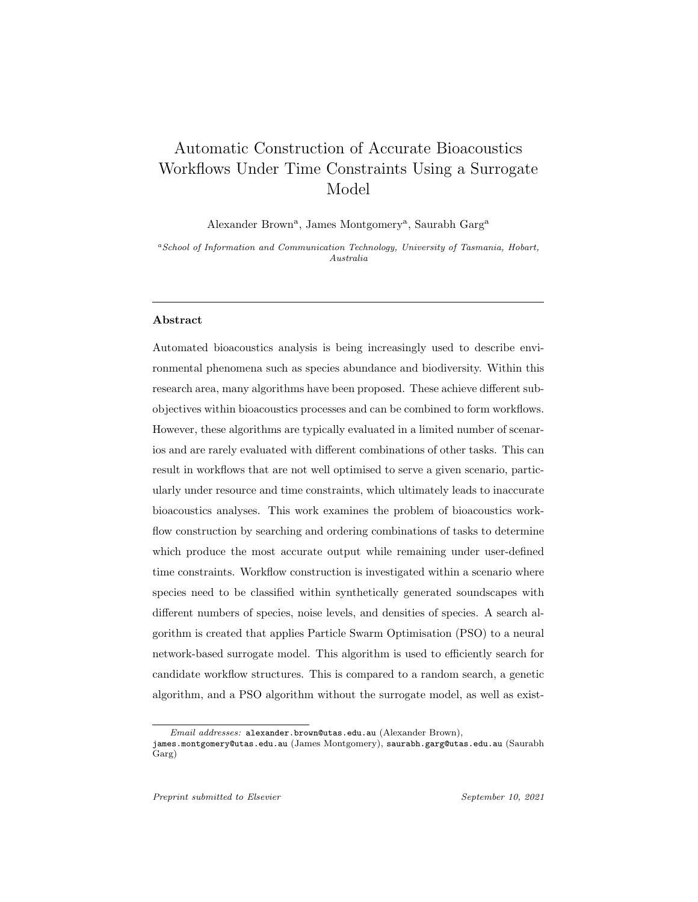# Automatic Construction of Accurate Bioacoustics Workflows Under Time Constraints Using a Surrogate Model

Alexander Brown<sup>a</sup>, James Montgomery<sup>a</sup>, Saurabh Garg<sup>a</sup>

<sup>a</sup>School of Information and Communication Technology, University of Tasmania, Hobart, Australia

# Abstract

Automated bioacoustics analysis is being increasingly used to describe environmental phenomena such as species abundance and biodiversity. Within this research area, many algorithms have been proposed. These achieve different subobjectives within bioacoustics processes and can be combined to form workflows. However, these algorithms are typically evaluated in a limited number of scenarios and are rarely evaluated with different combinations of other tasks. This can result in workflows that are not well optimised to serve a given scenario, particularly under resource and time constraints, which ultimately leads to inaccurate bioacoustics analyses. This work examines the problem of bioacoustics workflow construction by searching and ordering combinations of tasks to determine which produce the most accurate output while remaining under user-defined time constraints. Workflow construction is investigated within a scenario where species need to be classified within synthetically generated soundscapes with different numbers of species, noise levels, and densities of species. A search algorithm is created that applies Particle Swarm Optimisation (PSO) to a neural network-based surrogate model. This algorithm is used to efficiently search for candidate workflow structures. This is compared to a random search, a genetic algorithm, and a PSO algorithm without the surrogate model, as well as exist-

Email addresses: alexander.brown@utas.edu.au (Alexander Brown),

james.montgomery@utas.edu.au (James Montgomery), saurabh.garg@utas.edu.au (Saurabh Garg)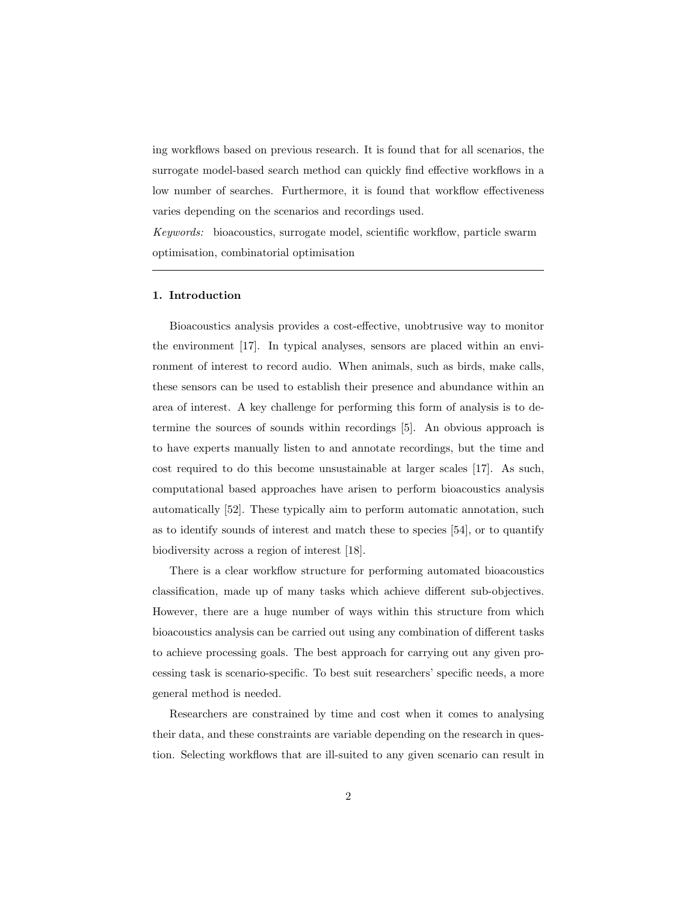ing workflows based on previous research. It is found that for all scenarios, the surrogate model-based search method can quickly find effective workflows in a low number of searches. Furthermore, it is found that workflow effectiveness varies depending on the scenarios and recordings used.

Keywords: bioacoustics, surrogate model, scientific workflow, particle swarm optimisation, combinatorial optimisation

# 1. Introduction

Bioacoustics analysis provides a cost-effective, unobtrusive way to monitor the environment [17]. In typical analyses, sensors are placed within an environment of interest to record audio. When animals, such as birds, make calls, these sensors can be used to establish their presence and abundance within an area of interest. A key challenge for performing this form of analysis is to determine the sources of sounds within recordings [5]. An obvious approach is to have experts manually listen to and annotate recordings, but the time and cost required to do this become unsustainable at larger scales [17]. As such, computational based approaches have arisen to perform bioacoustics analysis automatically [52]. These typically aim to perform automatic annotation, such as to identify sounds of interest and match these to species [54], or to quantify biodiversity across a region of interest [18].

There is a clear workflow structure for performing automated bioacoustics classification, made up of many tasks which achieve different sub-objectives. However, there are a huge number of ways within this structure from which bioacoustics analysis can be carried out using any combination of different tasks to achieve processing goals. The best approach for carrying out any given processing task is scenario-specific. To best suit researchers' specific needs, a more general method is needed.

Researchers are constrained by time and cost when it comes to analysing their data, and these constraints are variable depending on the research in question. Selecting workflows that are ill-suited to any given scenario can result in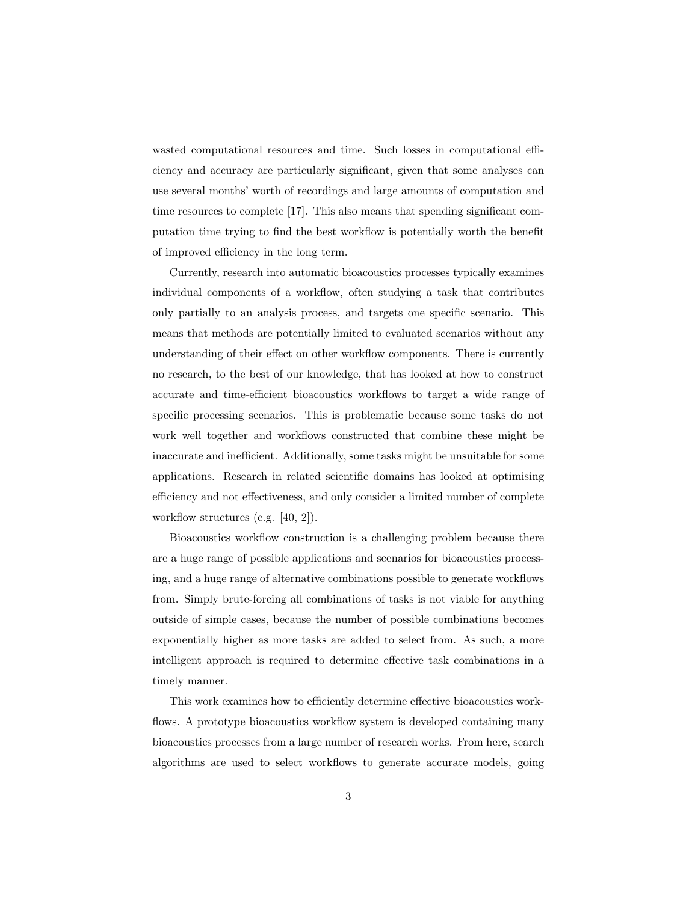wasted computational resources and time. Such losses in computational efficiency and accuracy are particularly significant, given that some analyses can use several months' worth of recordings and large amounts of computation and time resources to complete [17]. This also means that spending significant computation time trying to find the best workflow is potentially worth the benefit of improved efficiency in the long term.

Currently, research into automatic bioacoustics processes typically examines individual components of a workflow, often studying a task that contributes only partially to an analysis process, and targets one specific scenario. This means that methods are potentially limited to evaluated scenarios without any understanding of their effect on other workflow components. There is currently no research, to the best of our knowledge, that has looked at how to construct accurate and time-efficient bioacoustics workflows to target a wide range of specific processing scenarios. This is problematic because some tasks do not work well together and workflows constructed that combine these might be inaccurate and inefficient. Additionally, some tasks might be unsuitable for some applications. Research in related scientific domains has looked at optimising efficiency and not effectiveness, and only consider a limited number of complete workflow structures (e.g. [40, 2]).

Bioacoustics workflow construction is a challenging problem because there are a huge range of possible applications and scenarios for bioacoustics processing, and a huge range of alternative combinations possible to generate workflows from. Simply brute-forcing all combinations of tasks is not viable for anything outside of simple cases, because the number of possible combinations becomes exponentially higher as more tasks are added to select from. As such, a more intelligent approach is required to determine effective task combinations in a timely manner.

This work examines how to efficiently determine effective bioacoustics workflows. A prototype bioacoustics workflow system is developed containing many bioacoustics processes from a large number of research works. From here, search algorithms are used to select workflows to generate accurate models, going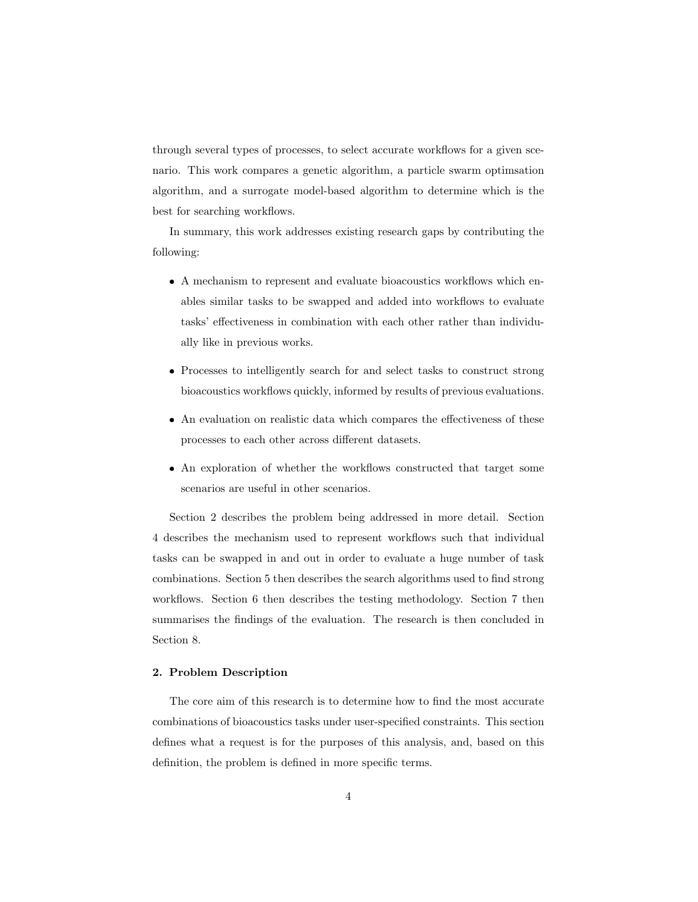through several types of processes, to select accurate workflows for a given scenario. This work compares a genetic algorithm, a particle swarm optimsation algorithm, and a surrogate model-based algorithm to determine which is the best for searching workflows.

In summary, this work addresses existing research gaps by contributing the following:

- A mechanism to represent and evaluate bioacoustics workflows which enables similar tasks to be swapped and added into workflows to evaluate tasks' effectiveness in combination with each other rather than individually like in previous works.
- Processes to intelligently search for and select tasks to construct strong bioacoustics workflows quickly, informed by results of previous evaluations.
- An evaluation on realistic data which compares the effectiveness of these processes to each other across different datasets.
- An exploration of whether the workflows constructed that target some scenarios are useful in other scenarios.

Section 2 describes the problem being addressed in more detail. Section 4 describes the mechanism used to represent workflows such that individual tasks can be swapped in and out in order to evaluate a huge number of task combinations. Section 5 then describes the search algorithms used to find strong workflows. Section 6 then describes the testing methodology. Section 7 then summarises the findings of the evaluation. The research is then concluded in Section 8.

# 2. Problem Description

The core aim of this research is to determine how to find the most accurate combinations of bioacoustics tasks under user-specified constraints. This section defines what a request is for the purposes of this analysis, and, based on this definition, the problem is defined in more specific terms.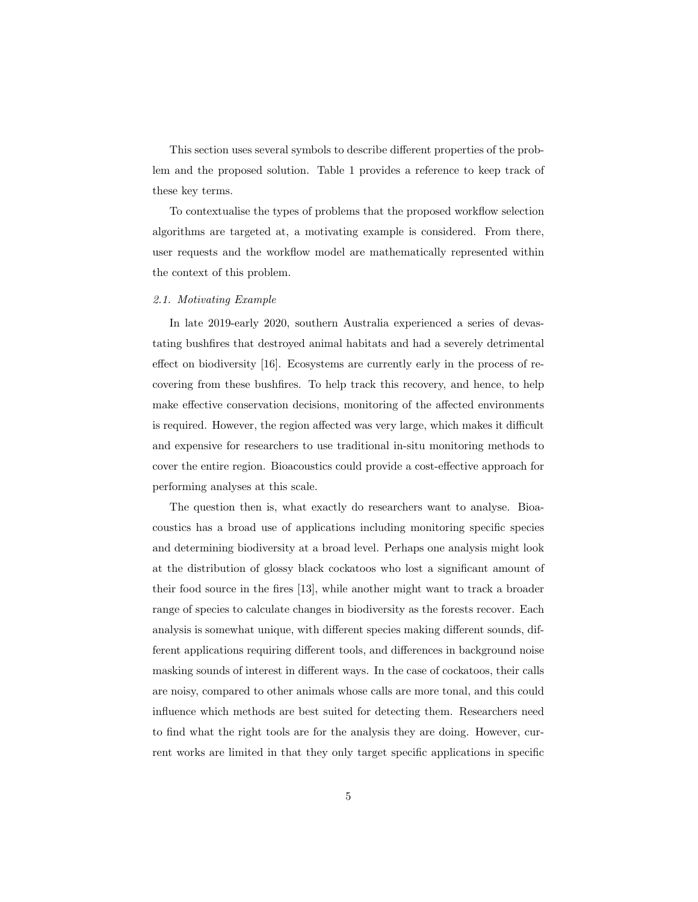This section uses several symbols to describe different properties of the problem and the proposed solution. Table 1 provides a reference to keep track of these key terms.

To contextualise the types of problems that the proposed workflow selection algorithms are targeted at, a motivating example is considered. From there, user requests and the workflow model are mathematically represented within the context of this problem.

# 2.1. Motivating Example

In late 2019-early 2020, southern Australia experienced a series of devastating bushfires that destroyed animal habitats and had a severely detrimental effect on biodiversity [16]. Ecosystems are currently early in the process of recovering from these bushfires. To help track this recovery, and hence, to help make effective conservation decisions, monitoring of the affected environments is required. However, the region affected was very large, which makes it difficult and expensive for researchers to use traditional in-situ monitoring methods to cover the entire region. Bioacoustics could provide a cost-effective approach for performing analyses at this scale.

The question then is, what exactly do researchers want to analyse. Bioacoustics has a broad use of applications including monitoring specific species and determining biodiversity at a broad level. Perhaps one analysis might look at the distribution of glossy black cockatoos who lost a significant amount of their food source in the fires [13], while another might want to track a broader range of species to calculate changes in biodiversity as the forests recover. Each analysis is somewhat unique, with different species making different sounds, different applications requiring different tools, and differences in background noise masking sounds of interest in different ways. In the case of cockatoos, their calls are noisy, compared to other animals whose calls are more tonal, and this could influence which methods are best suited for detecting them. Researchers need to find what the right tools are for the analysis they are doing. However, current works are limited in that they only target specific applications in specific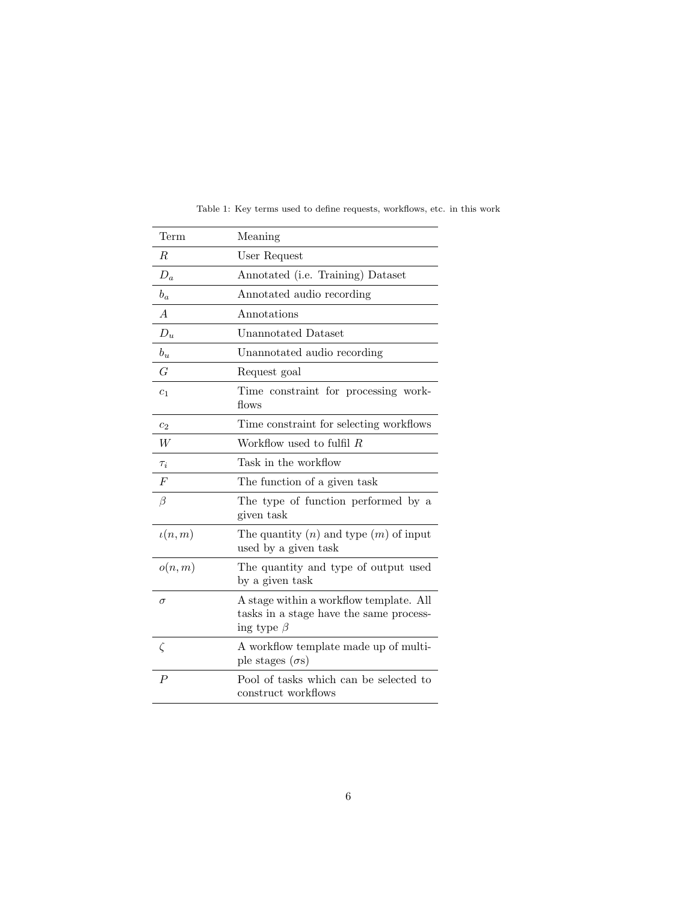| Term             | Meaning                                                                                                |
|------------------|--------------------------------------------------------------------------------------------------------|
| R.               | User Request                                                                                           |
| $D_a$            | Annotated (i.e. Training) Dataset                                                                      |
| $b_a$            | Annotated audio recording                                                                              |
| $\overline{A}$   | Annotations                                                                                            |
| $D_u$            | <b>Unannotated Dataset</b>                                                                             |
| $b_u$            | Unannotated audio recording                                                                            |
| $\overline{G}$   | Request goal                                                                                           |
| $c_1$            | Time constraint for processing work-<br>flows                                                          |
| c <sub>2</sub>   | Time constraint for selecting workflows                                                                |
| W                | Workflow used to fulfil $R$                                                                            |
| $\tau_i$         | Task in the workflow                                                                                   |
| $\boldsymbol{F}$ | The function of a given task                                                                           |
| $\beta$          | The type of function performed by a<br>given task                                                      |
| $\iota(n,m)$     | The quantity $(n)$ and type $(m)$ of input<br>used by a given task                                     |
| o(n,m)           | The quantity and type of output used<br>by a given task                                                |
| $\sigma$         | A stage within a workflow template. All<br>tasks in a stage have the same process-<br>ing type $\beta$ |
| $\zeta$          | A workflow template made up of multi-<br>ple stages $(\sigma s)$                                       |
| $\boldsymbol{P}$ | Pool of tasks which can be selected to<br>construct workflows                                          |

Table 1: Key terms used to define requests, workflows, etc. in this work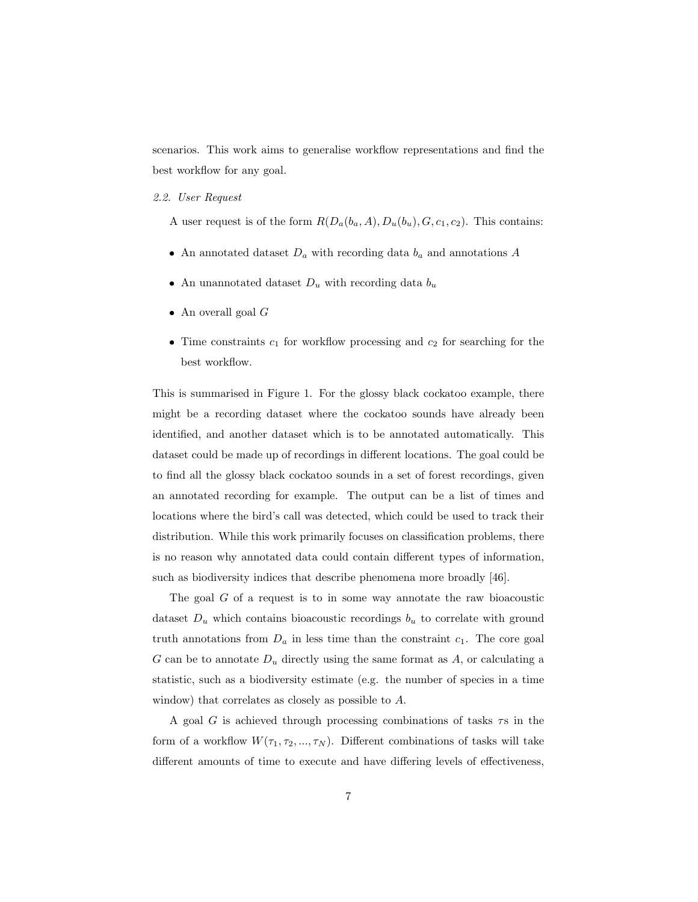scenarios. This work aims to generalise workflow representations and find the best workflow for any goal.

#### 2.2. User Request

A user request is of the form  $R(D_a(b_a, A), D_u(b_u), G, c_1, c_2)$ . This contains:

- An annotated dataset  $D_a$  with recording data  $b_a$  and annotations A
- An unannotated dataset  $D_u$  with recording data  $b_u$
- An overall goal  $G$
- Time constraints  $c_1$  for workflow processing and  $c_2$  for searching for the best workflow.

This is summarised in Figure 1. For the glossy black cockatoo example, there might be a recording dataset where the cockatoo sounds have already been identified, and another dataset which is to be annotated automatically. This dataset could be made up of recordings in different locations. The goal could be to find all the glossy black cockatoo sounds in a set of forest recordings, given an annotated recording for example. The output can be a list of times and locations where the bird's call was detected, which could be used to track their distribution. While this work primarily focuses on classification problems, there is no reason why annotated data could contain different types of information, such as biodiversity indices that describe phenomena more broadly [46].

The goal  $G$  of a request is to in some way annotate the raw bioacoustic dataset  $D_u$  which contains bioacoustic recordings  $b_u$  to correlate with ground truth annotations from  $D_a$  in less time than the constraint  $c_1$ . The core goal G can be to annotate  $D_u$  directly using the same format as A, or calculating a statistic, such as a biodiversity estimate (e.g. the number of species in a time window) that correlates as closely as possible to A.

A goal G is achieved through processing combinations of tasks  $\tau s$  in the form of a workflow  $W(\tau_1, \tau_2, ..., \tau_N)$ . Different combinations of tasks will take different amounts of time to execute and have differing levels of effectiveness,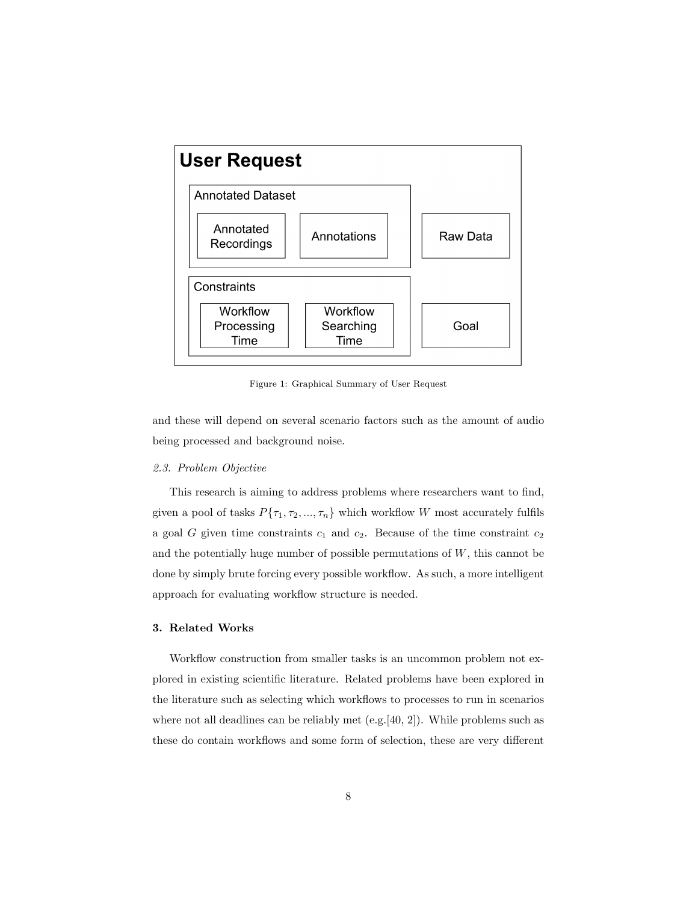

Figure 1: Graphical Summary of User Request

and these will depend on several scenario factors such as the amount of audio being processed and background noise.

# 2.3. Problem Objective

This research is aiming to address problems where researchers want to find, given a pool of tasks  $P\{\tau_1, \tau_2, ..., \tau_n\}$  which workflow W most accurately fulfils a goal  $G$  given time constraints  $c_1$  and  $c_2$ . Because of the time constraint  $c_2$ and the potentially huge number of possible permutations of  $W$ , this cannot be done by simply brute forcing every possible workflow. As such, a more intelligent approach for evaluating workflow structure is needed.

## 3. Related Works

Workflow construction from smaller tasks is an uncommon problem not explored in existing scientific literature. Related problems have been explored in the literature such as selecting which workflows to processes to run in scenarios where not all deadlines can be reliably met  $(e.g.[40, 2])$ . While problems such as these do contain workflows and some form of selection, these are very different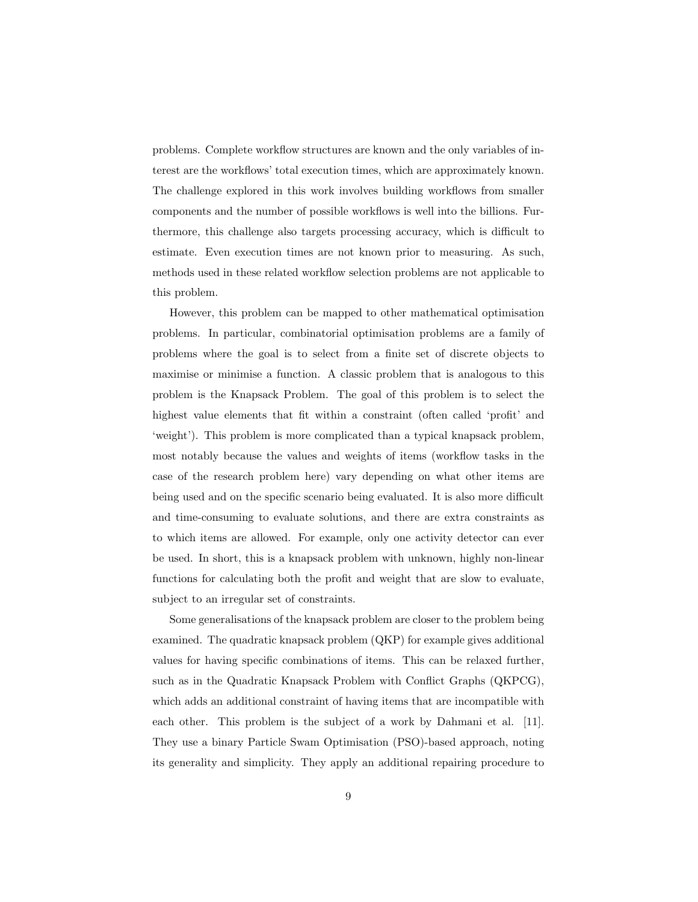problems. Complete workflow structures are known and the only variables of interest are the workflows' total execution times, which are approximately known. The challenge explored in this work involves building workflows from smaller components and the number of possible workflows is well into the billions. Furthermore, this challenge also targets processing accuracy, which is difficult to estimate. Even execution times are not known prior to measuring. As such, methods used in these related workflow selection problems are not applicable to this problem.

However, this problem can be mapped to other mathematical optimisation problems. In particular, combinatorial optimisation problems are a family of problems where the goal is to select from a finite set of discrete objects to maximise or minimise a function. A classic problem that is analogous to this problem is the Knapsack Problem. The goal of this problem is to select the highest value elements that fit within a constraint (often called 'profit' and 'weight'). This problem is more complicated than a typical knapsack problem, most notably because the values and weights of items (workflow tasks in the case of the research problem here) vary depending on what other items are being used and on the specific scenario being evaluated. It is also more difficult and time-consuming to evaluate solutions, and there are extra constraints as to which items are allowed. For example, only one activity detector can ever be used. In short, this is a knapsack problem with unknown, highly non-linear functions for calculating both the profit and weight that are slow to evaluate, subject to an irregular set of constraints.

Some generalisations of the knapsack problem are closer to the problem being examined. The quadratic knapsack problem (QKP) for example gives additional values for having specific combinations of items. This can be relaxed further, such as in the Quadratic Knapsack Problem with Conflict Graphs (QKPCG), which adds an additional constraint of having items that are incompatible with each other. This problem is the subject of a work by Dahmani et al. [11]. They use a binary Particle Swam Optimisation (PSO)-based approach, noting its generality and simplicity. They apply an additional repairing procedure to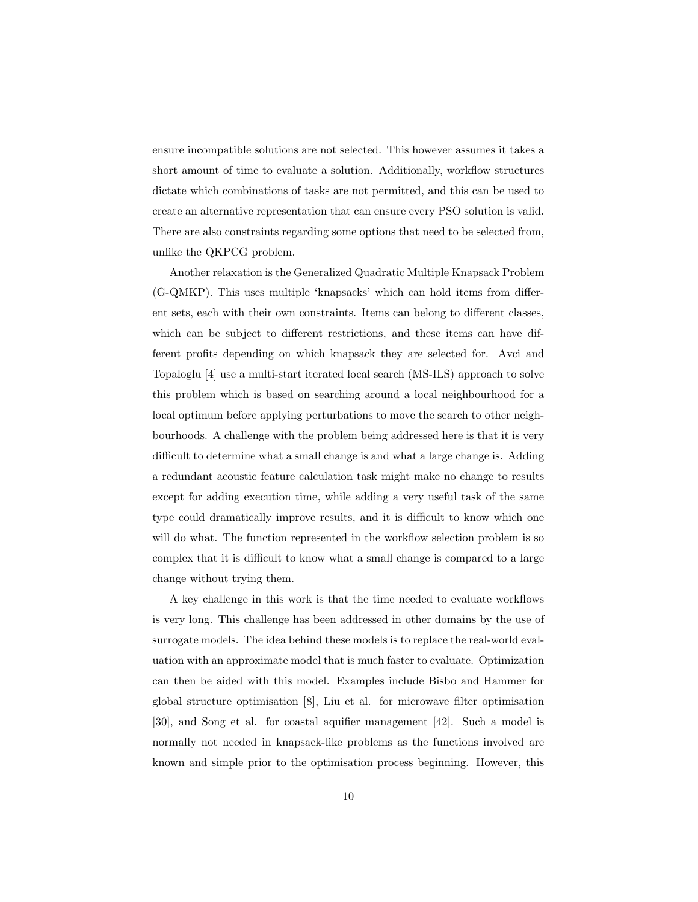ensure incompatible solutions are not selected. This however assumes it takes a short amount of time to evaluate a solution. Additionally, workflow structures dictate which combinations of tasks are not permitted, and this can be used to create an alternative representation that can ensure every PSO solution is valid. There are also constraints regarding some options that need to be selected from, unlike the QKPCG problem.

Another relaxation is the Generalized Quadratic Multiple Knapsack Problem (G-QMKP). This uses multiple 'knapsacks' which can hold items from different sets, each with their own constraints. Items can belong to different classes, which can be subject to different restrictions, and these items can have different profits depending on which knapsack they are selected for. Avci and Topaloglu [4] use a multi-start iterated local search (MS-ILS) approach to solve this problem which is based on searching around a local neighbourhood for a local optimum before applying perturbations to move the search to other neighbourhoods. A challenge with the problem being addressed here is that it is very difficult to determine what a small change is and what a large change is. Adding a redundant acoustic feature calculation task might make no change to results except for adding execution time, while adding a very useful task of the same type could dramatically improve results, and it is difficult to know which one will do what. The function represented in the workflow selection problem is so complex that it is difficult to know what a small change is compared to a large change without trying them.

A key challenge in this work is that the time needed to evaluate workflows is very long. This challenge has been addressed in other domains by the use of surrogate models. The idea behind these models is to replace the real-world evaluation with an approximate model that is much faster to evaluate. Optimization can then be aided with this model. Examples include Bisbo and Hammer for global structure optimisation [8], Liu et al. for microwave filter optimisation [30], and Song et al. for coastal aquifier management [42]. Such a model is normally not needed in knapsack-like problems as the functions involved are known and simple prior to the optimisation process beginning. However, this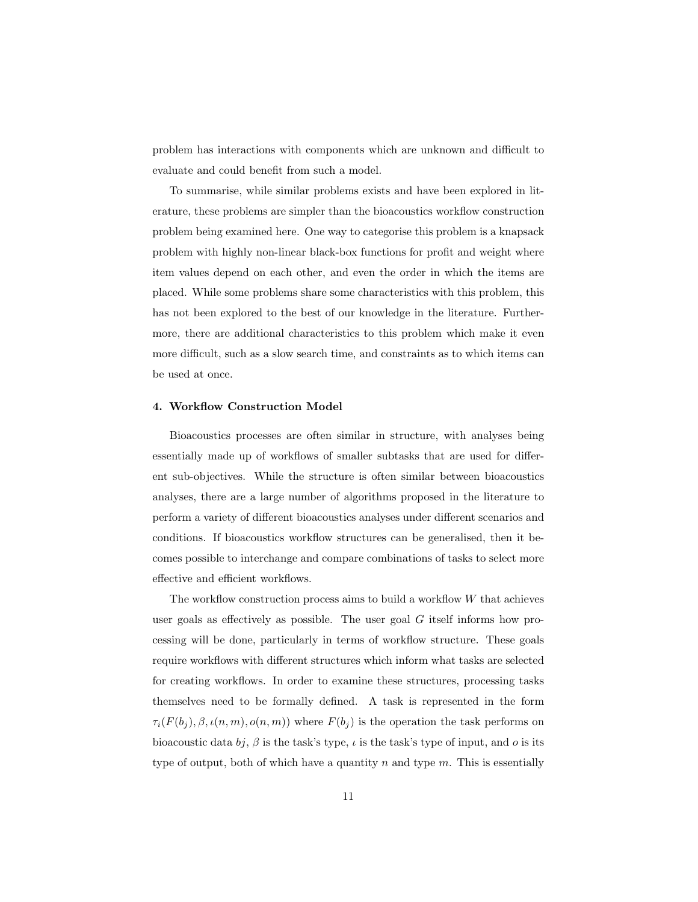problem has interactions with components which are unknown and difficult to evaluate and could benefit from such a model.

To summarise, while similar problems exists and have been explored in literature, these problems are simpler than the bioacoustics workflow construction problem being examined here. One way to categorise this problem is a knapsack problem with highly non-linear black-box functions for profit and weight where item values depend on each other, and even the order in which the items are placed. While some problems share some characteristics with this problem, this has not been explored to the best of our knowledge in the literature. Furthermore, there are additional characteristics to this problem which make it even more difficult, such as a slow search time, and constraints as to which items can be used at once.

# 4. Workflow Construction Model

Bioacoustics processes are often similar in structure, with analyses being essentially made up of workflows of smaller subtasks that are used for different sub-objectives. While the structure is often similar between bioacoustics analyses, there are a large number of algorithms proposed in the literature to perform a variety of different bioacoustics analyses under different scenarios and conditions. If bioacoustics workflow structures can be generalised, then it becomes possible to interchange and compare combinations of tasks to select more effective and efficient workflows.

The workflow construction process aims to build a workflow W that achieves user goals as effectively as possible. The user goal  $G$  itself informs how processing will be done, particularly in terms of workflow structure. These goals require workflows with different structures which inform what tasks are selected for creating workflows. In order to examine these structures, processing tasks themselves need to be formally defined. A task is represented in the form  $\tau_i(F(b_j), \beta, \iota(n, m), o(n, m))$  where  $F(b_j)$  is the operation the task performs on bioacoustic data bj,  $\beta$  is the task's type,  $\iota$  is the task's type of input, and o is its type of output, both of which have a quantity  $n$  and type  $m$ . This is essentially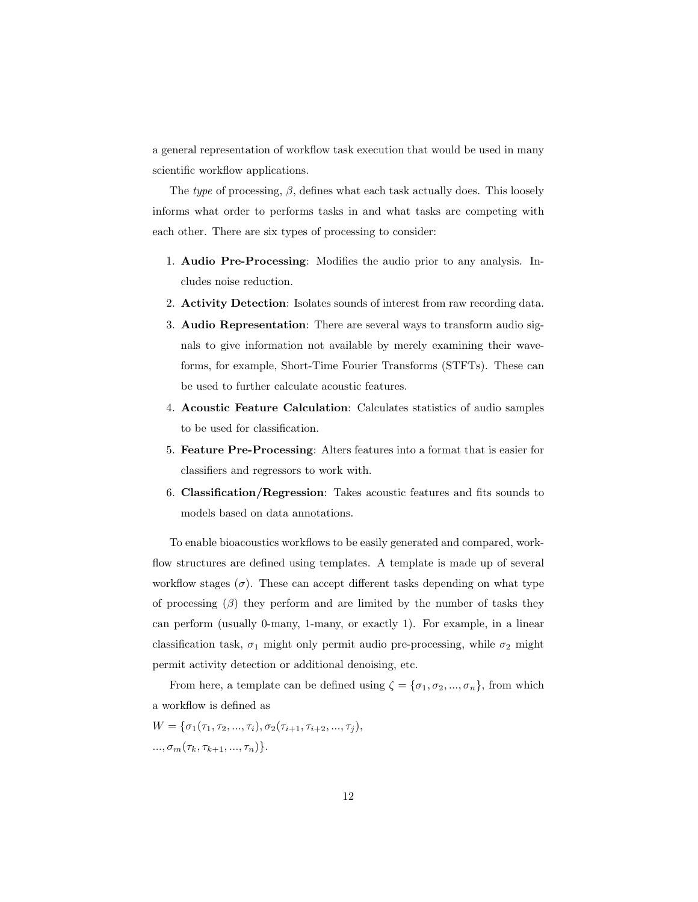a general representation of workflow task execution that would be used in many scientific workflow applications.

The type of processing,  $\beta$ , defines what each task actually does. This loosely informs what order to performs tasks in and what tasks are competing with each other. There are six types of processing to consider:

- 1. Audio Pre-Processing: Modifies the audio prior to any analysis. Includes noise reduction.
- 2. Activity Detection: Isolates sounds of interest from raw recording data.
- 3. Audio Representation: There are several ways to transform audio signals to give information not available by merely examining their waveforms, for example, Short-Time Fourier Transforms (STFTs). These can be used to further calculate acoustic features.
- 4. Acoustic Feature Calculation: Calculates statistics of audio samples to be used for classification.
- 5. Feature Pre-Processing: Alters features into a format that is easier for classifiers and regressors to work with.
- 6. Classification/Regression: Takes acoustic features and fits sounds to models based on data annotations.

To enable bioacoustics workflows to be easily generated and compared, workflow structures are defined using templates. A template is made up of several workflow stages  $(\sigma)$ . These can accept different tasks depending on what type of processing  $(\beta)$  they perform and are limited by the number of tasks they can perform (usually 0-many, 1-many, or exactly 1). For example, in a linear classification task,  $\sigma_1$  might only permit audio pre-processing, while  $\sigma_2$  might permit activity detection or additional denoising, etc.

From here, a template can be defined using  $\zeta = {\sigma_1, \sigma_2, ..., \sigma_n}$ , from which a workflow is defined as

 $W = {\sigma_1(\tau_1, \tau_2, ..., \tau_i), \sigma_2(\tau_{i+1}, \tau_{i+2}, ..., \tau_i)},$  $..., \sigma_m(\tau_k, \tau_{k+1}, ..., \tau_n) \}.$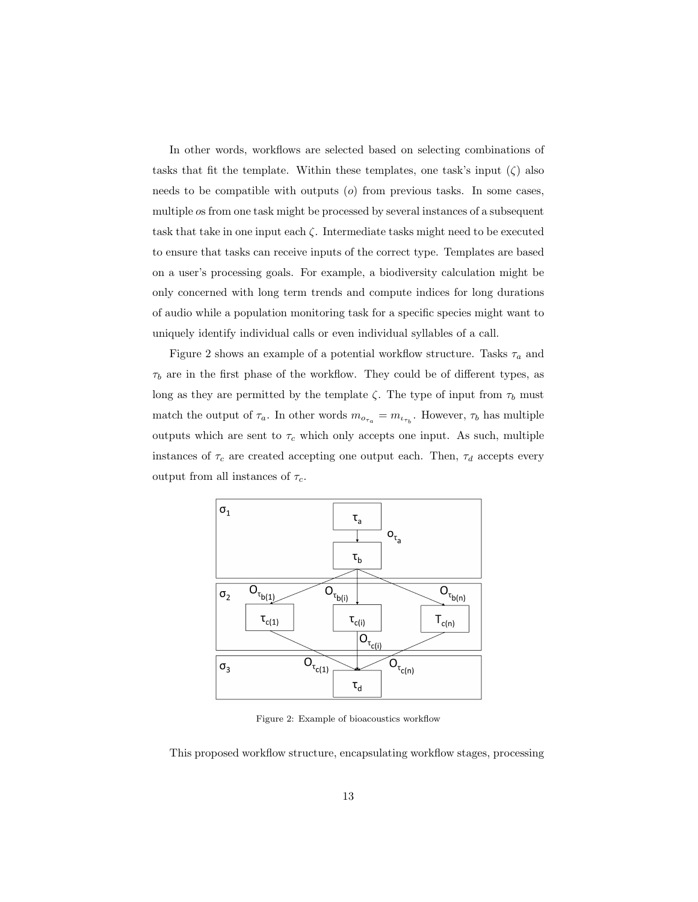In other words, workflows are selected based on selecting combinations of tasks that fit the template. Within these templates, one task's input  $(\zeta)$  also needs to be compatible with outputs  $(o)$  from previous tasks. In some cases, multiple os from one task might be processed by several instances of a subsequent task that take in one input each  $\zeta$ . Intermediate tasks might need to be executed to ensure that tasks can receive inputs of the correct type. Templates are based on a user's processing goals. For example, a biodiversity calculation might be only concerned with long term trends and compute indices for long durations of audio while a population monitoring task for a specific species might want to uniquely identify individual calls or even individual syllables of a call.

Figure 2 shows an example of a potential workflow structure. Tasks  $\tau_a$  and  $\tau_b$  are in the first phase of the workflow. They could be of different types, as long as they are permitted by the template  $\zeta$ . The type of input from  $\tau_b$  must match the output of  $\tau_a$ . In other words  $m_{o_{\tau_a}} = m_{\iota_{\tau_b}}$ . However,  $\tau_b$  has multiple outputs which are sent to  $\tau_c$  which only accepts one input. As such, multiple instances of  $\tau_c$  are created accepting one output each. Then,  $\tau_d$  accepts every output from all instances of  $\tau_c$ .



Figure 2: Example of bioacoustics workflow

This proposed workflow structure, encapsulating workflow stages, processing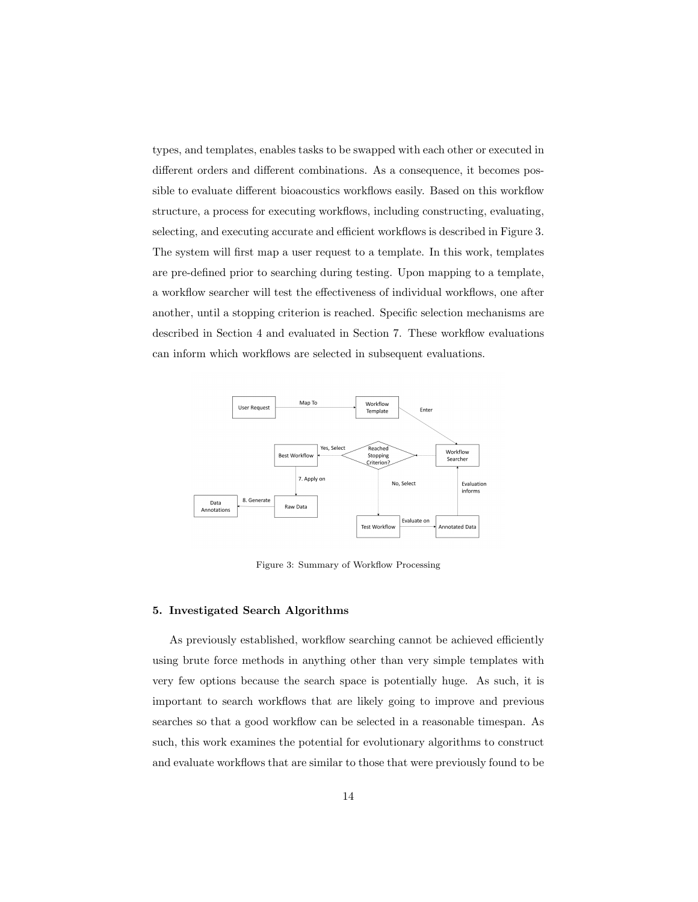types, and templates, enables tasks to be swapped with each other or executed in different orders and different combinations. As a consequence, it becomes possible to evaluate different bioacoustics workflows easily. Based on this workflow structure, a process for executing workflows, including constructing, evaluating, selecting, and executing accurate and efficient workflows is described in Figure 3. The system will first map a user request to a template. In this work, templates are pre-defined prior to searching during testing. Upon mapping to a template, a workflow searcher will test the effectiveness of individual workflows, one after another, until a stopping criterion is reached. Specific selection mechanisms are described in Section 4 and evaluated in Section 7. These workflow evaluations can inform which workflows are selected in subsequent evaluations.



Figure 3: Summary of Workflow Processing

### 5. Investigated Search Algorithms

As previously established, workflow searching cannot be achieved efficiently using brute force methods in anything other than very simple templates with very few options because the search space is potentially huge. As such, it is important to search workflows that are likely going to improve and previous searches so that a good workflow can be selected in a reasonable timespan. As such, this work examines the potential for evolutionary algorithms to construct and evaluate workflows that are similar to those that were previously found to be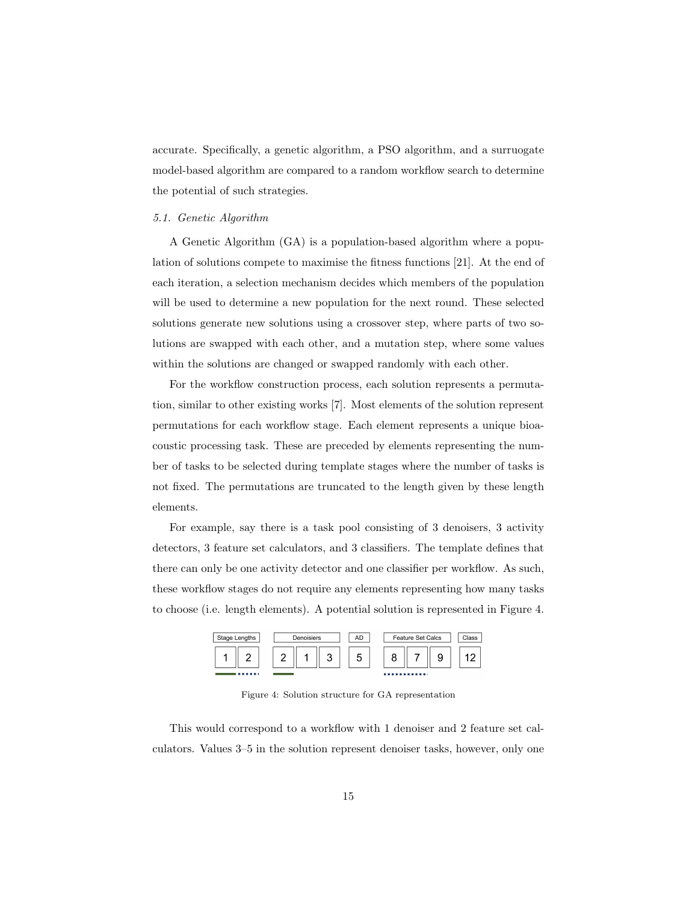accurate. Specifically, a genetic algorithm, a PSO algorithm, and a surruogate model-based algorithm are compared to a random workflow search to determine the potential of such strategies.

# 5.1. Genetic Algorithm

A Genetic Algorithm (GA) is a population-based algorithm where a population of solutions compete to maximise the fitness functions [21]. At the end of each iteration, a selection mechanism decides which members of the population will be used to determine a new population for the next round. These selected solutions generate new solutions using a crossover step, where parts of two solutions are swapped with each other, and a mutation step, where some values within the solutions are changed or swapped randomly with each other.

For the workflow construction process, each solution represents a permutation, similar to other existing works [7]. Most elements of the solution represent permutations for each workflow stage. Each element represents a unique bioacoustic processing task. These are preceded by elements representing the number of tasks to be selected during template stages where the number of tasks is not fixed. The permutations are truncated to the length given by these length elements.

For example, say there is a task pool consisting of 3 denoisers, 3 activity detectors, 3 feature set calculators, and 3 classifiers. The template defines that there can only be one activity detector and one classifier per workflow. As such, these workflow stages do not require any elements representing how many tasks to choose (i.e. length elements). A potential solution is represented in Figure 4.

| Stage Lengths | Denoisiers | AD | Feature Set Calcs | Class |
|---------------|------------|----|-------------------|-------|
|               | ◠<br>J     | 5  | v                 |       |
| .             |            |    |                   |       |

Figure 4: Solution structure for GA representation

This would correspond to a workflow with 1 denoiser and 2 feature set calculators. Values 3–5 in the solution represent denoiser tasks, however, only one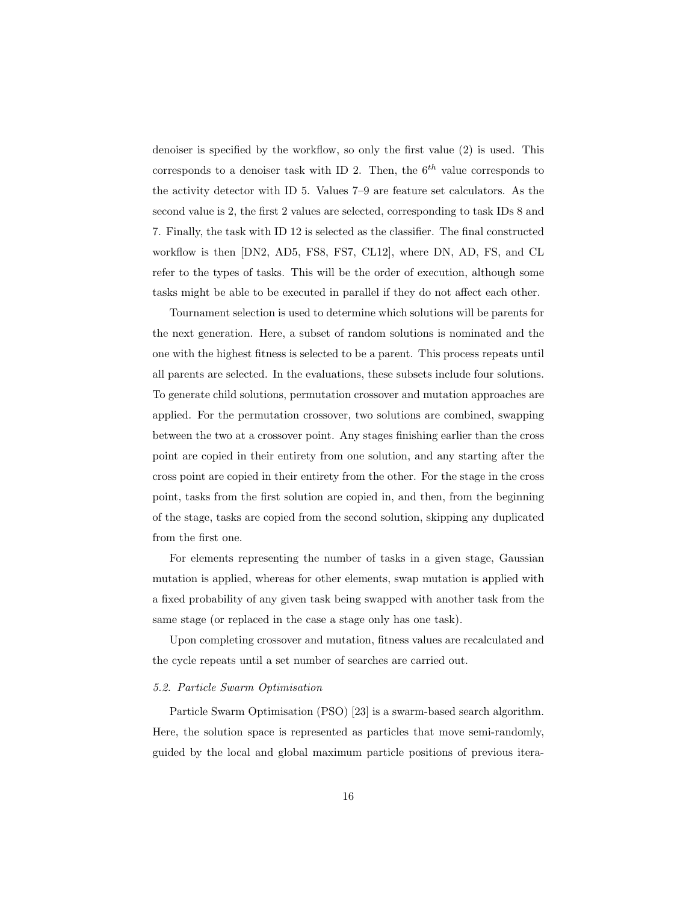denoiser is specified by the workflow, so only the first value (2) is used. This corresponds to a denoiser task with ID 2. Then, the  $6<sup>th</sup>$  value corresponds to the activity detector with ID 5. Values 7–9 are feature set calculators. As the second value is 2, the first 2 values are selected, corresponding to task IDs 8 and 7. Finally, the task with ID 12 is selected as the classifier. The final constructed workflow is then [DN2, AD5, FS8, FS7, CL12], where DN, AD, FS, and CL refer to the types of tasks. This will be the order of execution, although some tasks might be able to be executed in parallel if they do not affect each other.

Tournament selection is used to determine which solutions will be parents for the next generation. Here, a subset of random solutions is nominated and the one with the highest fitness is selected to be a parent. This process repeats until all parents are selected. In the evaluations, these subsets include four solutions. To generate child solutions, permutation crossover and mutation approaches are applied. For the permutation crossover, two solutions are combined, swapping between the two at a crossover point. Any stages finishing earlier than the cross point are copied in their entirety from one solution, and any starting after the cross point are copied in their entirety from the other. For the stage in the cross point, tasks from the first solution are copied in, and then, from the beginning of the stage, tasks are copied from the second solution, skipping any duplicated from the first one.

For elements representing the number of tasks in a given stage, Gaussian mutation is applied, whereas for other elements, swap mutation is applied with a fixed probability of any given task being swapped with another task from the same stage (or replaced in the case a stage only has one task).

Upon completing crossover and mutation, fitness values are recalculated and the cycle repeats until a set number of searches are carried out.

#### 5.2. Particle Swarm Optimisation

Particle Swarm Optimisation (PSO) [23] is a swarm-based search algorithm. Here, the solution space is represented as particles that move semi-randomly, guided by the local and global maximum particle positions of previous itera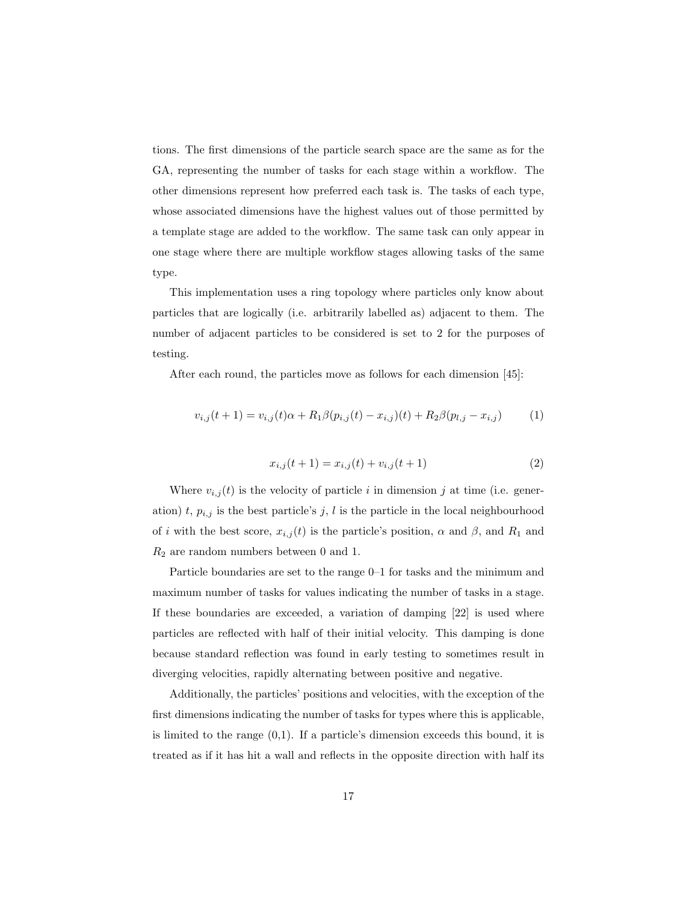tions. The first dimensions of the particle search space are the same as for the GA, representing the number of tasks for each stage within a workflow. The other dimensions represent how preferred each task is. The tasks of each type, whose associated dimensions have the highest values out of those permitted by a template stage are added to the workflow. The same task can only appear in one stage where there are multiple workflow stages allowing tasks of the same type.

This implementation uses a ring topology where particles only know about particles that are logically (i.e. arbitrarily labelled as) adjacent to them. The number of adjacent particles to be considered is set to 2 for the purposes of testing.

After each round, the particles move as follows for each dimension [45]:

$$
v_{i,j}(t+1) = v_{i,j}(t)\alpha + R_1\beta(p_{i,j}(t) - x_{i,j})(t) + R_2\beta(p_{i,j} - x_{i,j})
$$
(1)

$$
x_{i,j}(t+1) = x_{i,j}(t) + v_{i,j}(t+1)
$$
\n(2)

Where  $v_{i,j}(t)$  is the velocity of particle i in dimension j at time (i.e. generation) t,  $p_{i,j}$  is the best particle's j, l is the particle in the local neighbourhood of i with the best score,  $x_{i,j}(t)$  is the particle's position,  $\alpha$  and  $\beta$ , and  $R_1$  and  $R_2$  are random numbers between 0 and 1.

Particle boundaries are set to the range 0–1 for tasks and the minimum and maximum number of tasks for values indicating the number of tasks in a stage. If these boundaries are exceeded, a variation of damping [22] is used where particles are reflected with half of their initial velocity. This damping is done because standard reflection was found in early testing to sometimes result in diverging velocities, rapidly alternating between positive and negative.

Additionally, the particles' positions and velocities, with the exception of the first dimensions indicating the number of tasks for types where this is applicable, is limited to the range  $(0,1)$ . If a particle's dimension exceeds this bound, it is treated as if it has hit a wall and reflects in the opposite direction with half its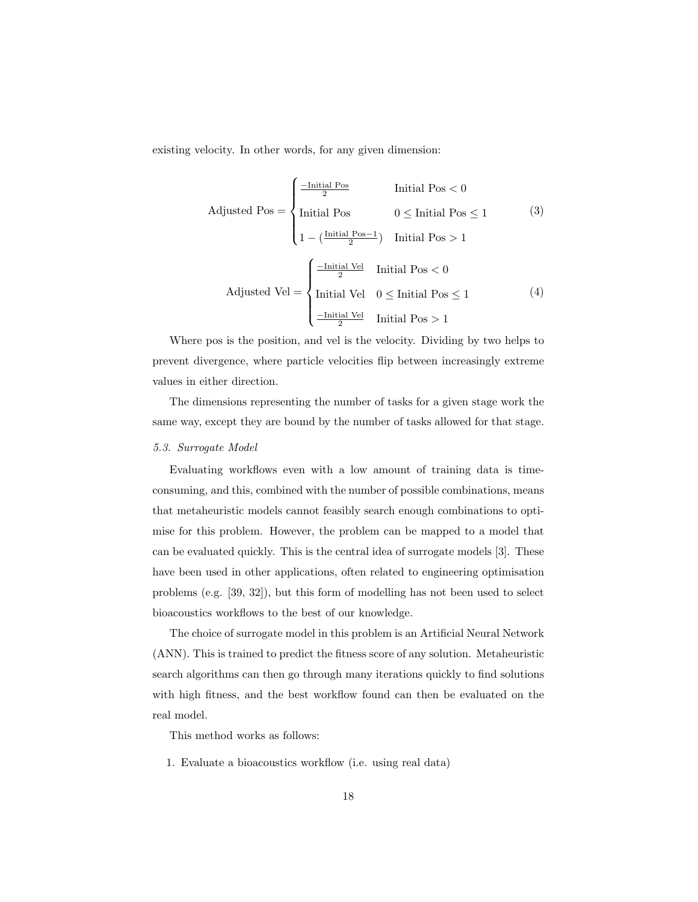existing velocity. In other words, for any given dimension:

Adjusted Pos =

\n
$$
\begin{cases}\n\frac{-\text{Initial Pos}}{2} & \text{Initial Pos} < 0 \\
\text{Initial Pos} & 0 \leq \text{Initial Pos} \leq 1 \\
1 - (\frac{\text{Initial Pos} - 1}{2}) & \text{Initial Pos} > 1\n\end{cases}
$$
\n(3)

\n
$$
\text{ adjusted Vel} = \begin{cases}\n\frac{-\text{Initial Vel}}{2} & \text{Initial Pos} < 0 \\
\text{Initial Vel} & 0 \leq \text{Initial Pos} < 0 \\
\frac{-\text{Initial Vel}}{2} & \text{Initial Pos} > 1\n\end{cases}
$$

Where pos is the position, and vel is the velocity. Dividing by two helps to prevent divergence, where particle velocities flip between increasingly extreme values in either direction.

The dimensions representing the number of tasks for a given stage work the same way, except they are bound by the number of tasks allowed for that stage.

# 5.3. Surrogate Model

Evaluating workflows even with a low amount of training data is timeconsuming, and this, combined with the number of possible combinations, means that metaheuristic models cannot feasibly search enough combinations to optimise for this problem. However, the problem can be mapped to a model that can be evaluated quickly. This is the central idea of surrogate models [3]. These have been used in other applications, often related to engineering optimisation problems (e.g. [39, 32]), but this form of modelling has not been used to select bioacoustics workflows to the best of our knowledge.

The choice of surrogate model in this problem is an Artificial Neural Network (ANN). This is trained to predict the fitness score of any solution. Metaheuristic search algorithms can then go through many iterations quickly to find solutions with high fitness, and the best workflow found can then be evaluated on the real model.

This method works as follows:

1. Evaluate a bioacoustics workflow (i.e. using real data)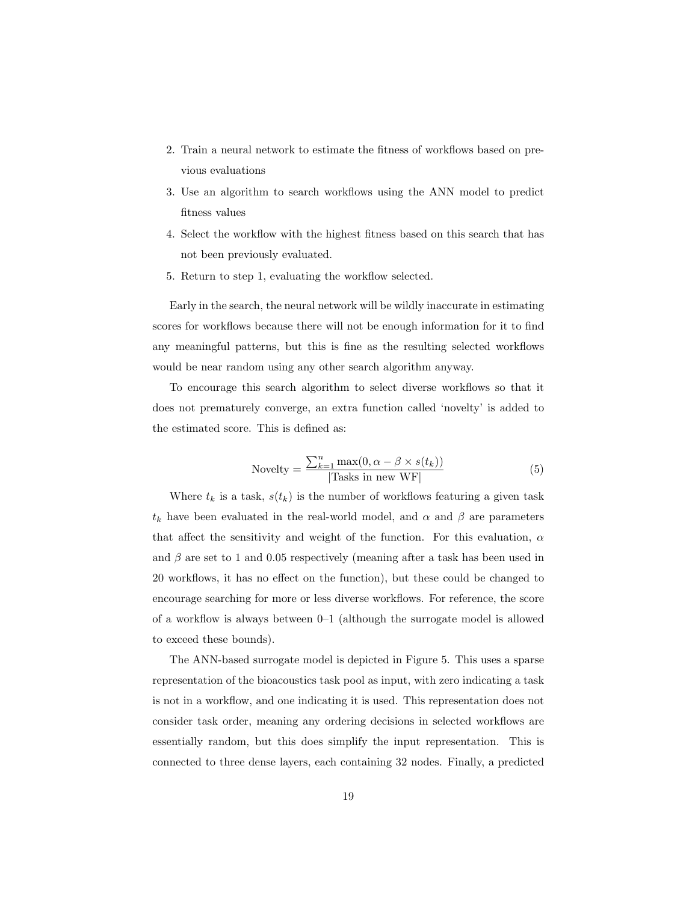- 2. Train a neural network to estimate the fitness of workflows based on previous evaluations
- 3. Use an algorithm to search workflows using the ANN model to predict fitness values
- 4. Select the workflow with the highest fitness based on this search that has not been previously evaluated.
- 5. Return to step 1, evaluating the workflow selected.

Early in the search, the neural network will be wildly inaccurate in estimating scores for workflows because there will not be enough information for it to find any meaningful patterns, but this is fine as the resulting selected workflows would be near random using any other search algorithm anyway.

To encourage this search algorithm to select diverse workflows so that it does not prematurely converge, an extra function called 'novelty' is added to the estimated score. This is defined as:

$$
Nowelly = \frac{\sum_{k=1}^{n} \max(0, \alpha - \beta \times s(t_k))}{|\text{Tasks in new WF}|}
$$
(5)

Where  $t_k$  is a task,  $s(t_k)$  is the number of workflows featuring a given task  $t_k$  have been evaluated in the real-world model, and  $\alpha$  and  $\beta$  are parameters that affect the sensitivity and weight of the function. For this evaluation,  $\alpha$ and  $\beta$  are set to 1 and 0.05 respectively (meaning after a task has been used in 20 workflows, it has no effect on the function), but these could be changed to encourage searching for more or less diverse workflows. For reference, the score of a workflow is always between 0–1 (although the surrogate model is allowed to exceed these bounds).

The ANN-based surrogate model is depicted in Figure 5. This uses a sparse representation of the bioacoustics task pool as input, with zero indicating a task is not in a workflow, and one indicating it is used. This representation does not consider task order, meaning any ordering decisions in selected workflows are essentially random, but this does simplify the input representation. This is connected to three dense layers, each containing 32 nodes. Finally, a predicted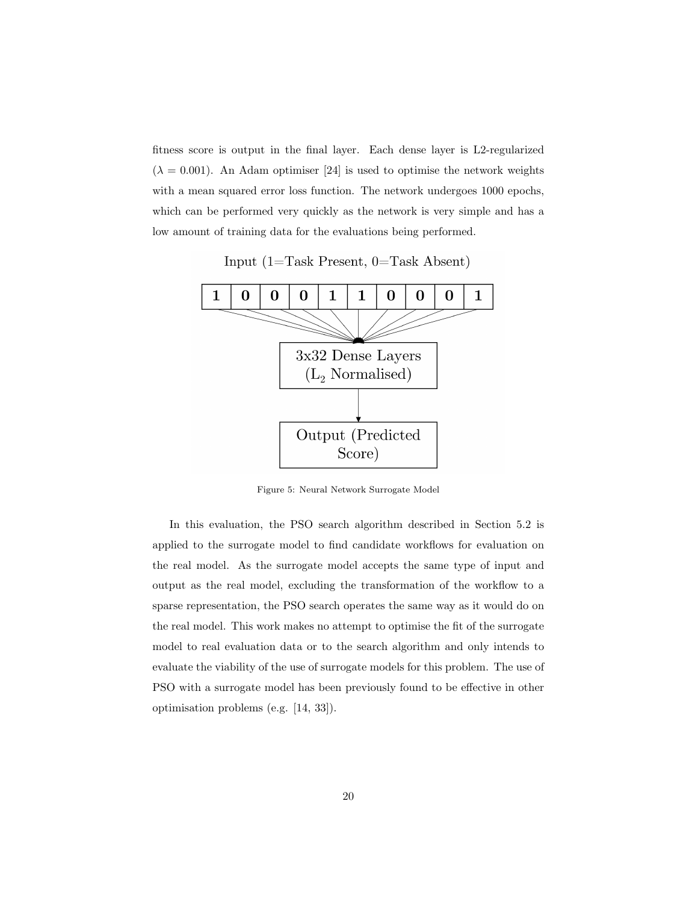fitness score is output in the final layer. Each dense layer is L2-regularized  $(\lambda = 0.001)$ . An Adam optimiser [24] is used to optimise the network weights with a mean squared error loss function. The network undergoes 1000 epochs, which can be performed very quickly as the network is very simple and has a low amount of training data for the evaluations being performed.

Input  $(1 = Task$  Present,  $0 = Task$  Absent)



Figure 5: Neural Network Surrogate Model

In this evaluation, the PSO search algorithm described in Section 5.2 is applied to the surrogate model to find candidate workflows for evaluation on the real model. As the surrogate model accepts the same type of input and output as the real model, excluding the transformation of the workflow to a sparse representation, the PSO search operates the same way as it would do on the real model. This work makes no attempt to optimise the fit of the surrogate model to real evaluation data or to the search algorithm and only intends to evaluate the viability of the use of surrogate models for this problem. The use of PSO with a surrogate model has been previously found to be effective in other optimisation problems (e.g. [14, 33]).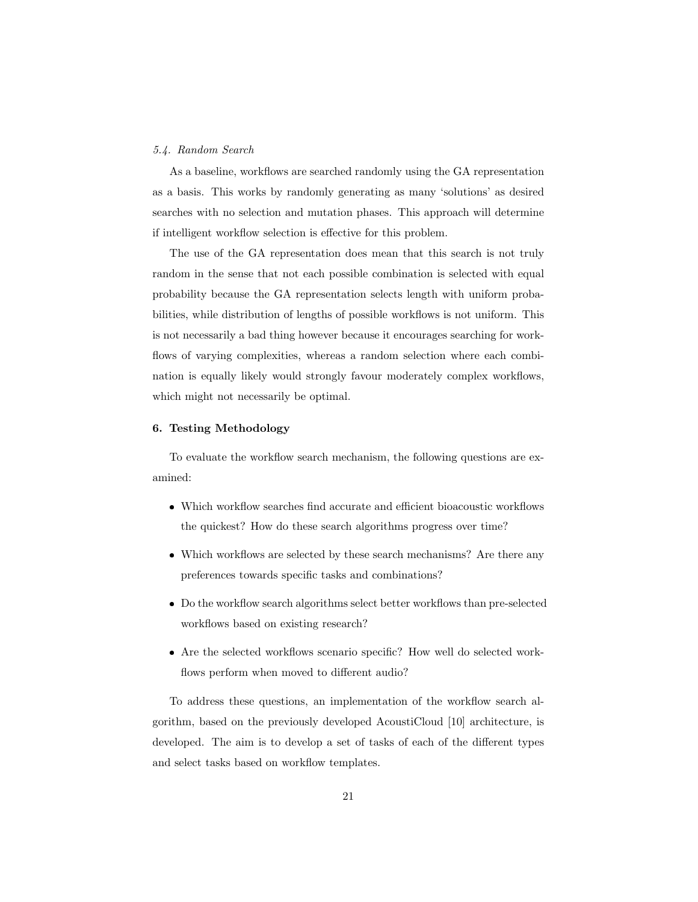# 5.4. Random Search

As a baseline, workflows are searched randomly using the GA representation as a basis. This works by randomly generating as many 'solutions' as desired searches with no selection and mutation phases. This approach will determine if intelligent workflow selection is effective for this problem.

The use of the GA representation does mean that this search is not truly random in the sense that not each possible combination is selected with equal probability because the GA representation selects length with uniform probabilities, while distribution of lengths of possible workflows is not uniform. This is not necessarily a bad thing however because it encourages searching for workflows of varying complexities, whereas a random selection where each combination is equally likely would strongly favour moderately complex workflows, which might not necessarily be optimal.

# 6. Testing Methodology

To evaluate the workflow search mechanism, the following questions are examined:

- Which workflow searches find accurate and efficient bioacoustic workflows the quickest? How do these search algorithms progress over time?
- Which workflows are selected by these search mechanisms? Are there any preferences towards specific tasks and combinations?
- Do the workflow search algorithms select better workflows than pre-selected workflows based on existing research?
- Are the selected workflows scenario specific? How well do selected workflows perform when moved to different audio?

To address these questions, an implementation of the workflow search algorithm, based on the previously developed AcoustiCloud [10] architecture, is developed. The aim is to develop a set of tasks of each of the different types and select tasks based on workflow templates.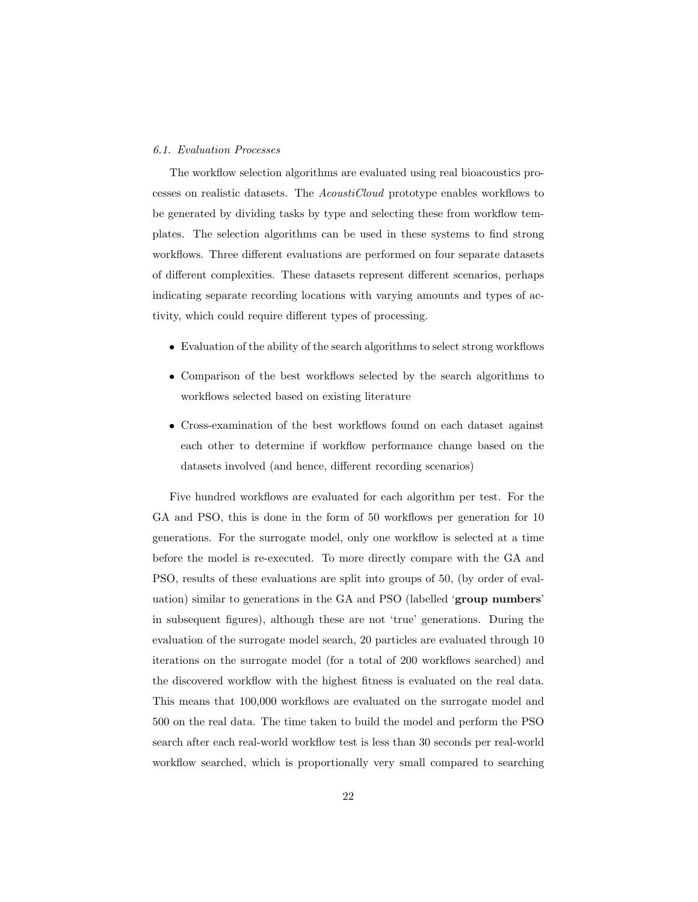#### 6.1. Evaluation Processes

The workflow selection algorithms are evaluated using real bioacoustics processes on realistic datasets. The AcoustiCloud prototype enables workflows to be generated by dividing tasks by type and selecting these from workflow templates. The selection algorithms can be used in these systems to find strong workflows. Three different evaluations are performed on four separate datasets of different complexities. These datasets represent different scenarios, perhaps indicating separate recording locations with varying amounts and types of activity, which could require different types of processing.

- Evaluation of the ability of the search algorithms to select strong workflows
- Comparison of the best workflows selected by the search algorithms to workflows selected based on existing literature
- Cross-examination of the best workflows found on each dataset against each other to determine if workflow performance change based on the datasets involved (and hence, different recording scenarios)

Five hundred workflows are evaluated for each algorithm per test. For the GA and PSO, this is done in the form of 50 workflows per generation for 10 generations. For the surrogate model, only one workflow is selected at a time before the model is re-executed. To more directly compare with the GA and PSO, results of these evaluations are split into groups of 50, (by order of evaluation) similar to generations in the GA and PSO (labelled 'group numbers' in subsequent figures), although these are not 'true' generations. During the evaluation of the surrogate model search, 20 particles are evaluated through 10 iterations on the surrogate model (for a total of 200 workflows searched) and the discovered workflow with the highest fitness is evaluated on the real data. This means that 100,000 workflows are evaluated on the surrogate model and 500 on the real data. The time taken to build the model and perform the PSO search after each real-world workflow test is less than 30 seconds per real-world workflow searched, which is proportionally very small compared to searching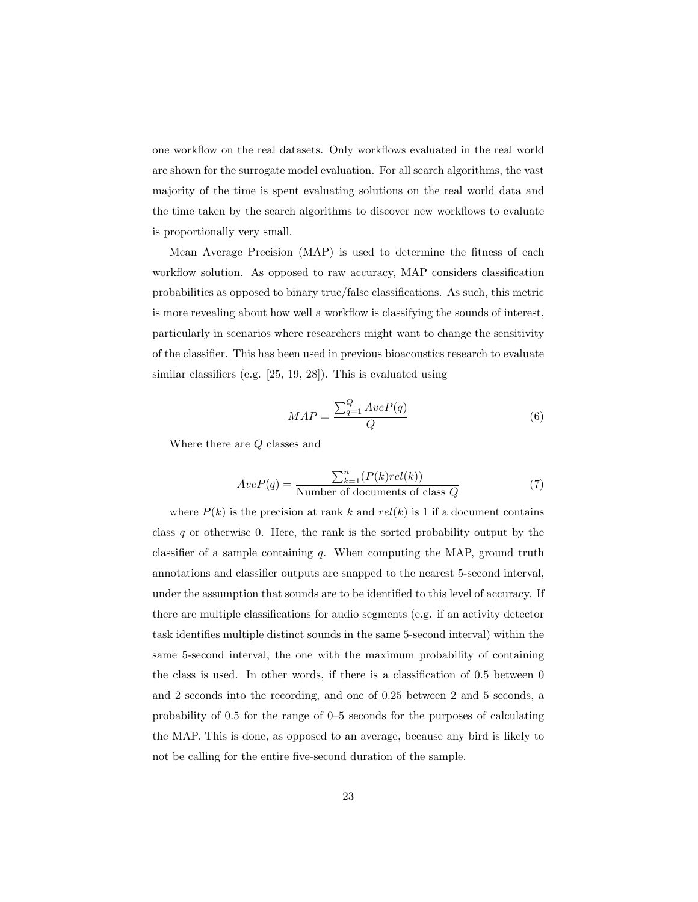one workflow on the real datasets. Only workflows evaluated in the real world are shown for the surrogate model evaluation. For all search algorithms, the vast majority of the time is spent evaluating solutions on the real world data and the time taken by the search algorithms to discover new workflows to evaluate is proportionally very small.

Mean Average Precision (MAP) is used to determine the fitness of each workflow solution. As opposed to raw accuracy, MAP considers classification probabilities as opposed to binary true/false classifications. As such, this metric is more revealing about how well a workflow is classifying the sounds of interest, particularly in scenarios where researchers might want to change the sensitivity of the classifier. This has been used in previous bioacoustics research to evaluate similar classifiers (e.g. [25, 19, 28]). This is evaluated using

$$
MAP = \frac{\sum_{q=1}^{Q} AveP(q)}{Q}
$$
 (6)

Where there are Q classes and

$$
AveP(q) = \frac{\sum_{k=1}^{n} (P(k)rel(k))}{\text{Number of documents of class } Q}
$$
(7)

where  $P(k)$  is the precision at rank k and  $rel(k)$  is 1 if a document contains class  $q$  or otherwise 0. Here, the rank is the sorted probability output by the classifier of a sample containing  $q$ . When computing the MAP, ground truth annotations and classifier outputs are snapped to the nearest 5-second interval, under the assumption that sounds are to be identified to this level of accuracy. If there are multiple classifications for audio segments (e.g. if an activity detector task identifies multiple distinct sounds in the same 5-second interval) within the same 5-second interval, the one with the maximum probability of containing the class is used. In other words, if there is a classification of 0.5 between 0 and 2 seconds into the recording, and one of 0.25 between 2 and 5 seconds, a probability of 0.5 for the range of 0–5 seconds for the purposes of calculating the MAP. This is done, as opposed to an average, because any bird is likely to not be calling for the entire five-second duration of the sample.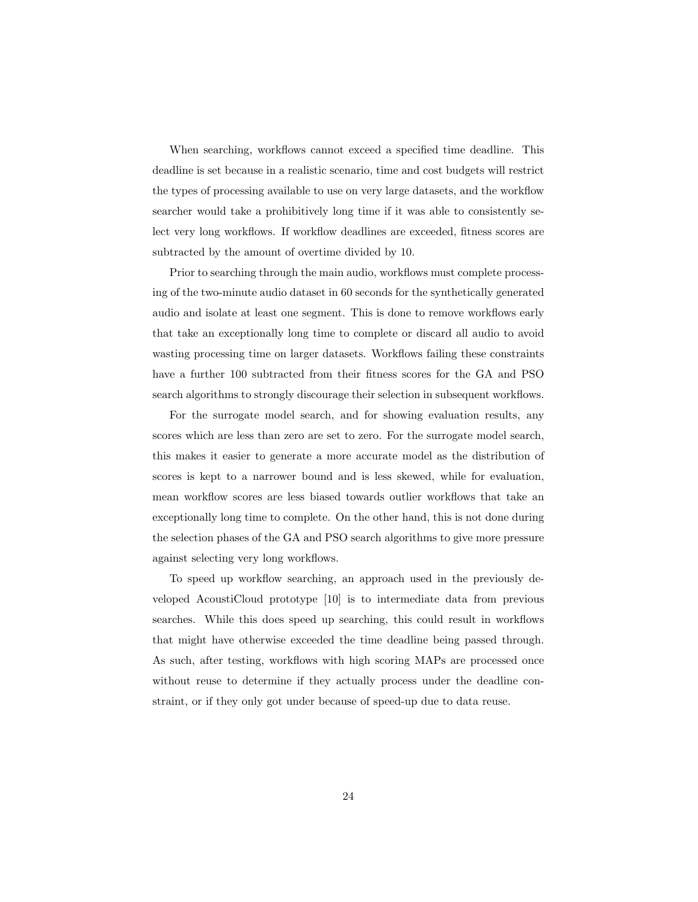When searching, workflows cannot exceed a specified time deadline. This deadline is set because in a realistic scenario, time and cost budgets will restrict the types of processing available to use on very large datasets, and the workflow searcher would take a prohibitively long time if it was able to consistently select very long workflows. If workflow deadlines are exceeded, fitness scores are subtracted by the amount of overtime divided by 10.

Prior to searching through the main audio, workflows must complete processing of the two-minute audio dataset in 60 seconds for the synthetically generated audio and isolate at least one segment. This is done to remove workflows early that take an exceptionally long time to complete or discard all audio to avoid wasting processing time on larger datasets. Workflows failing these constraints have a further 100 subtracted from their fitness scores for the GA and PSO search algorithms to strongly discourage their selection in subsequent workflows.

For the surrogate model search, and for showing evaluation results, any scores which are less than zero are set to zero. For the surrogate model search, this makes it easier to generate a more accurate model as the distribution of scores is kept to a narrower bound and is less skewed, while for evaluation, mean workflow scores are less biased towards outlier workflows that take an exceptionally long time to complete. On the other hand, this is not done during the selection phases of the GA and PSO search algorithms to give more pressure against selecting very long workflows.

To speed up workflow searching, an approach used in the previously developed AcoustiCloud prototype [10] is to intermediate data from previous searches. While this does speed up searching, this could result in workflows that might have otherwise exceeded the time deadline being passed through. As such, after testing, workflows with high scoring MAPs are processed once without reuse to determine if they actually process under the deadline constraint, or if they only got under because of speed-up due to data reuse.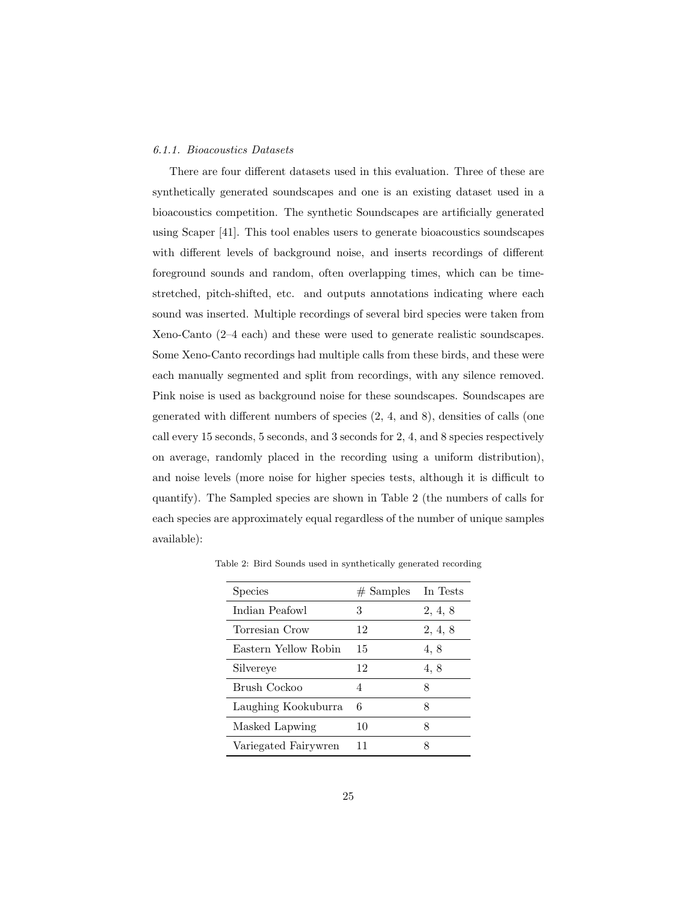# 6.1.1. Bioacoustics Datasets

There are four different datasets used in this evaluation. Three of these are synthetically generated soundscapes and one is an existing dataset used in a bioacoustics competition. The synthetic Soundscapes are artificially generated using Scaper [41]. This tool enables users to generate bioacoustics soundscapes with different levels of background noise, and inserts recordings of different foreground sounds and random, often overlapping times, which can be timestretched, pitch-shifted, etc. and outputs annotations indicating where each sound was inserted. Multiple recordings of several bird species were taken from Xeno-Canto (2–4 each) and these were used to generate realistic soundscapes. Some Xeno-Canto recordings had multiple calls from these birds, and these were each manually segmented and split from recordings, with any silence removed. Pink noise is used as background noise for these soundscapes. Soundscapes are generated with different numbers of species (2, 4, and 8), densities of calls (one call every 15 seconds, 5 seconds, and 3 seconds for 2, 4, and 8 species respectively on average, randomly placed in the recording using a uniform distribution), and noise levels (more noise for higher species tests, although it is difficult to quantify). The Sampled species are shown in Table 2 (the numbers of calls for each species are approximately equal regardless of the number of unique samples available):

| Species              | $#$ Samples | In Tests |
|----------------------|-------------|----------|
| Indian Peafowl       | 3           | 2, 4, 8  |
| Torresian Crow       | 12          | 2, 4, 8  |
| Eastern Yellow Robin | 15          | 4,8      |
| Silvereye            | 12          | 4, 8     |
| Brush Cockoo         | 4           | 8        |
| Laughing Kookuburra  | 6           | 8        |
| Masked Lapwing       | 10          | 8        |
| Variegated Fairywren | 11          | я        |

Table 2: Bird Sounds used in synthetically generated recording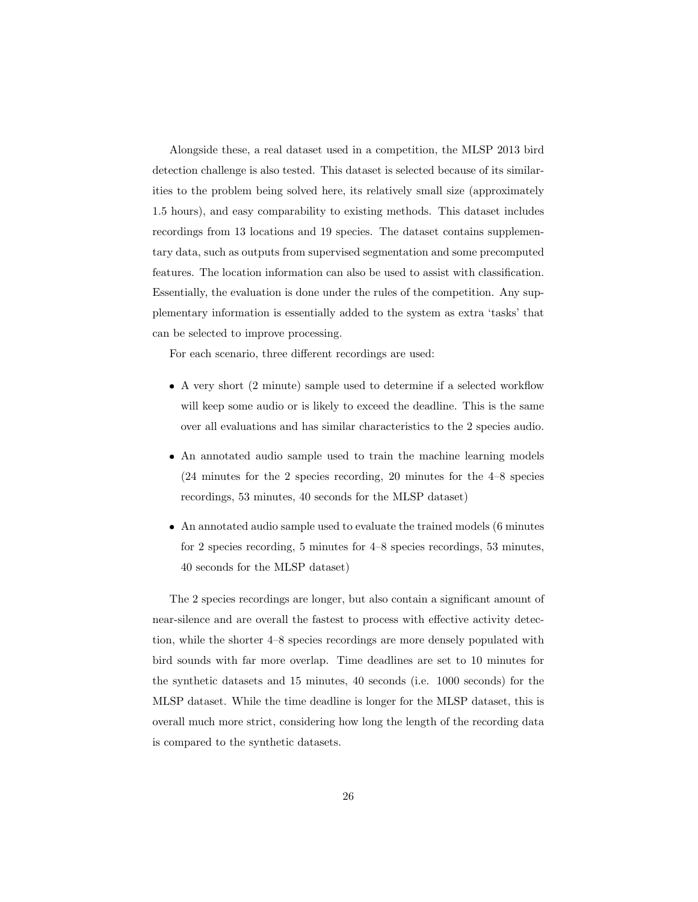Alongside these, a real dataset used in a competition, the MLSP 2013 bird detection challenge is also tested. This dataset is selected because of its similarities to the problem being solved here, its relatively small size (approximately 1.5 hours), and easy comparability to existing methods. This dataset includes recordings from 13 locations and 19 species. The dataset contains supplementary data, such as outputs from supervised segmentation and some precomputed features. The location information can also be used to assist with classification. Essentially, the evaluation is done under the rules of the competition. Any supplementary information is essentially added to the system as extra 'tasks' that can be selected to improve processing.

For each scenario, three different recordings are used:

- A very short (2 minute) sample used to determine if a selected workflow will keep some audio or is likely to exceed the deadline. This is the same over all evaluations and has similar characteristics to the 2 species audio.
- An annotated audio sample used to train the machine learning models (24 minutes for the 2 species recording, 20 minutes for the 4–8 species recordings, 53 minutes, 40 seconds for the MLSP dataset)
- An annotated audio sample used to evaluate the trained models (6 minutes for 2 species recording, 5 minutes for 4–8 species recordings, 53 minutes, 40 seconds for the MLSP dataset)

The 2 species recordings are longer, but also contain a significant amount of near-silence and are overall the fastest to process with effective activity detection, while the shorter 4–8 species recordings are more densely populated with bird sounds with far more overlap. Time deadlines are set to 10 minutes for the synthetic datasets and 15 minutes, 40 seconds (i.e. 1000 seconds) for the MLSP dataset. While the time deadline is longer for the MLSP dataset, this is overall much more strict, considering how long the length of the recording data is compared to the synthetic datasets.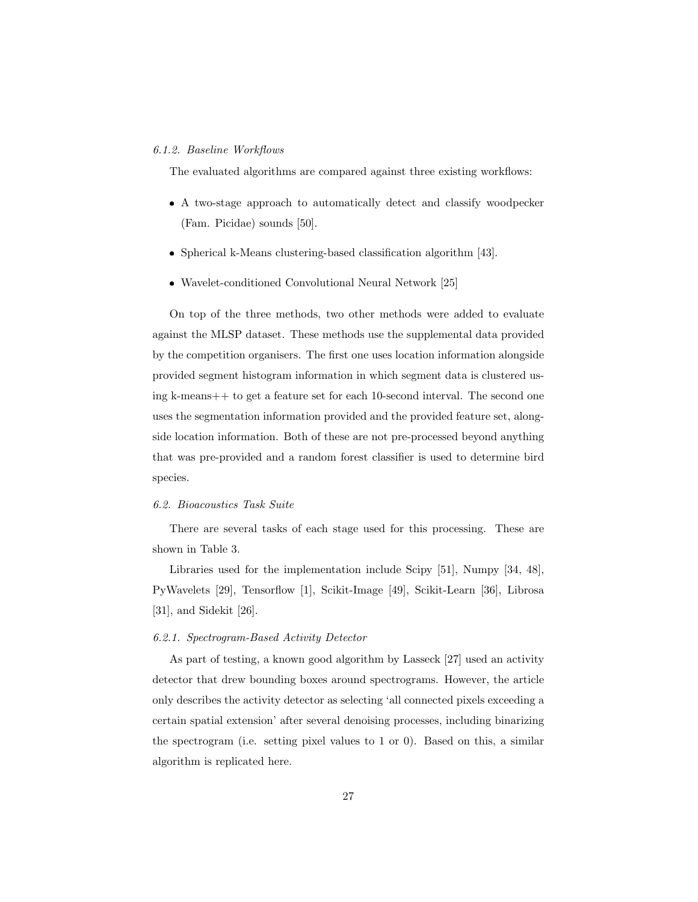## 6.1.2. Baseline Workflows

The evaluated algorithms are compared against three existing workflows:

- A two-stage approach to automatically detect and classify woodpecker (Fam. Picidae) sounds [50].
- Spherical k-Means clustering-based classification algorithm [43].
- Wavelet-conditioned Convolutional Neural Network [25]

On top of the three methods, two other methods were added to evaluate against the MLSP dataset. These methods use the supplemental data provided by the competition organisers. The first one uses location information alongside provided segment histogram information in which segment data is clustered using k-means++ to get a feature set for each 10-second interval. The second one uses the segmentation information provided and the provided feature set, alongside location information. Both of these are not pre-processed beyond anything that was pre-provided and a random forest classifier is used to determine bird species.

#### 6.2. Bioacoustics Task Suite

There are several tasks of each stage used for this processing. These are shown in Table 3.

Libraries used for the implementation include Scipy [51], Numpy [34, 48], PyWavelets [29], Tensorflow [1], Scikit-Image [49], Scikit-Learn [36], Librosa [31], and Sidekit [26].

# 6.2.1. Spectrogram-Based Activity Detector

As part of testing, a known good algorithm by Lasseck [27] used an activity detector that drew bounding boxes around spectrograms. However, the article only describes the activity detector as selecting 'all connected pixels exceeding a certain spatial extension' after several denoising processes, including binarizing the spectrogram (i.e. setting pixel values to 1 or 0). Based on this, a similar algorithm is replicated here.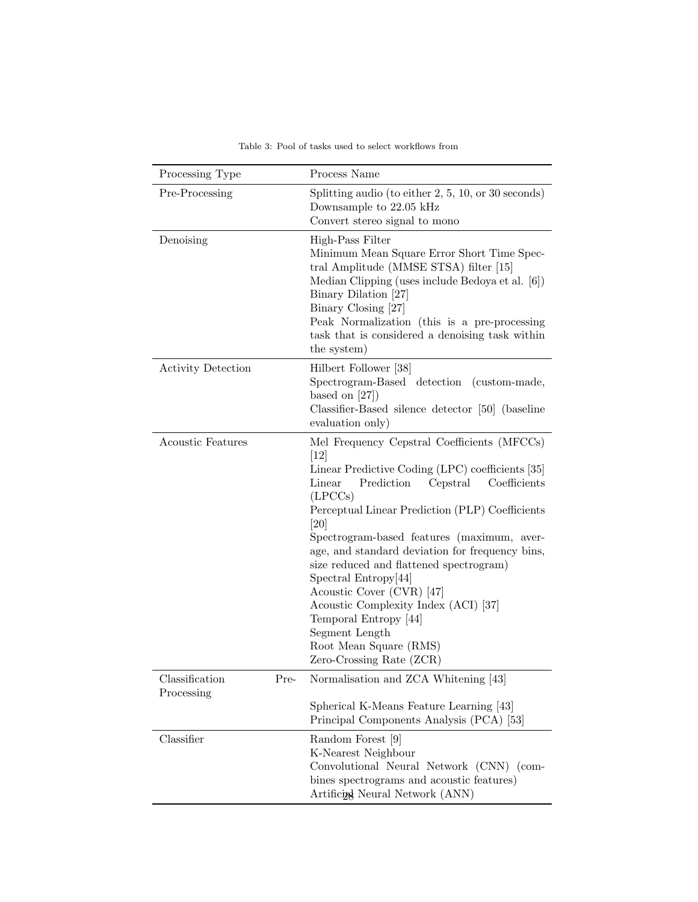| Processing Type                      | Process Name                                                                                                                                                                                                                                                                                                                                                                                                                                                                                                                                                                |  |  |
|--------------------------------------|-----------------------------------------------------------------------------------------------------------------------------------------------------------------------------------------------------------------------------------------------------------------------------------------------------------------------------------------------------------------------------------------------------------------------------------------------------------------------------------------------------------------------------------------------------------------------------|--|--|
| Pre-Processing                       | Splitting audio (to either $2, 5, 10, \text{or } 30 \text{ seconds}$ )<br>Downsample to 22.05 kHz<br>Convert stereo signal to mono                                                                                                                                                                                                                                                                                                                                                                                                                                          |  |  |
| Denoising                            | High-Pass Filter<br>Minimum Mean Square Error Short Time Spec-<br>tral Amplitude (MMSE STSA) filter [15]<br>Median Clipping (uses include Bedoya et al. [6])<br>Binary Dilation [27]<br>Binary Closing [27]<br>Peak Normalization (this is a pre-processing<br>task that is considered a denoising task within<br>the system)                                                                                                                                                                                                                                               |  |  |
| <b>Activity Detection</b>            | Hilbert Follower [38]<br>Spectrogram-Based detection<br>(custom-made,<br>based on $[27]$ )<br>Classifier-Based silence detector [50] (baseline<br>evaluation only)                                                                                                                                                                                                                                                                                                                                                                                                          |  |  |
| <b>Acoustic Features</b>             | Mel Frequency Cepstral Coefficients (MFCCs)<br>[12]<br>Linear Predictive Coding (LPC) coefficients [35]<br>Prediction<br>Cepstral<br>Coefficients<br>Linear<br>(LPCCs)<br>Perceptual Linear Prediction (PLP) Coefficients<br>[20]<br>Spectrogram-based features (maximum, aver-<br>age, and standard deviation for frequency bins,<br>size reduced and flattened spectrogram)<br>Spectral Entropy[44]<br>Acoustic Cover (CVR) [47]<br>Acoustic Complexity Index (ACI) [37]<br>Temporal Entropy [44]<br>Segment Length<br>Root Mean Square (RMS)<br>Zero-Crossing Rate (ZCR) |  |  |
| Classification<br>Pre-<br>Processing | Normalisation and ZCA Whitening [43]<br>Spherical K-Means Feature Learning [43]<br>Principal Components Analysis (PCA) [53]                                                                                                                                                                                                                                                                                                                                                                                                                                                 |  |  |
| Classifier                           | Random Forest [9]<br>K-Nearest Neighbour<br>Convolutional Neural Network (CNN) (com-<br>bines spectrograms and acoustic features)<br>Artificial Neural Network (ANN)                                                                                                                                                                                                                                                                                                                                                                                                        |  |  |

Table 3: Pool of tasks used to select workflows from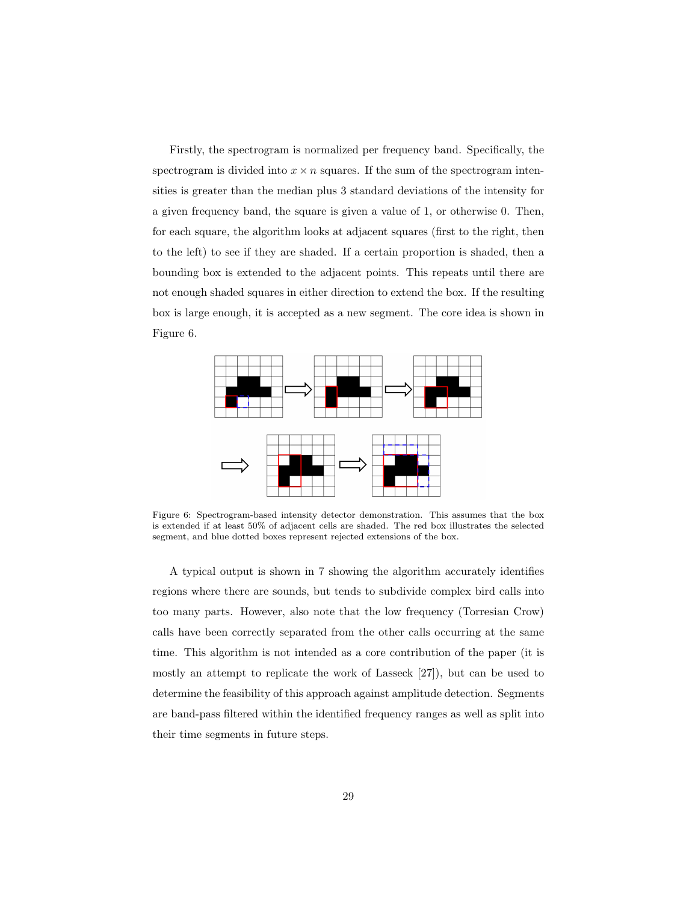Firstly, the spectrogram is normalized per frequency band. Specifically, the spectrogram is divided into  $x \times n$  squares. If the sum of the spectrogram intensities is greater than the median plus 3 standard deviations of the intensity for a given frequency band, the square is given a value of 1, or otherwise 0. Then, for each square, the algorithm looks at adjacent squares (first to the right, then to the left) to see if they are shaded. If a certain proportion is shaded, then a bounding box is extended to the adjacent points. This repeats until there are not enough shaded squares in either direction to extend the box. If the resulting box is large enough, it is accepted as a new segment. The core idea is shown in Figure 6.



Figure 6: Spectrogram-based intensity detector demonstration. This assumes that the box is extended if at least 50% of adjacent cells are shaded. The red box illustrates the selected segment, and blue dotted boxes represent rejected extensions of the box.

A typical output is shown in 7 showing the algorithm accurately identifies regions where there are sounds, but tends to subdivide complex bird calls into too many parts. However, also note that the low frequency (Torresian Crow) calls have been correctly separated from the other calls occurring at the same time. This algorithm is not intended as a core contribution of the paper (it is mostly an attempt to replicate the work of Lasseck [27]), but can be used to determine the feasibility of this approach against amplitude detection. Segments are band-pass filtered within the identified frequency ranges as well as split into their time segments in future steps.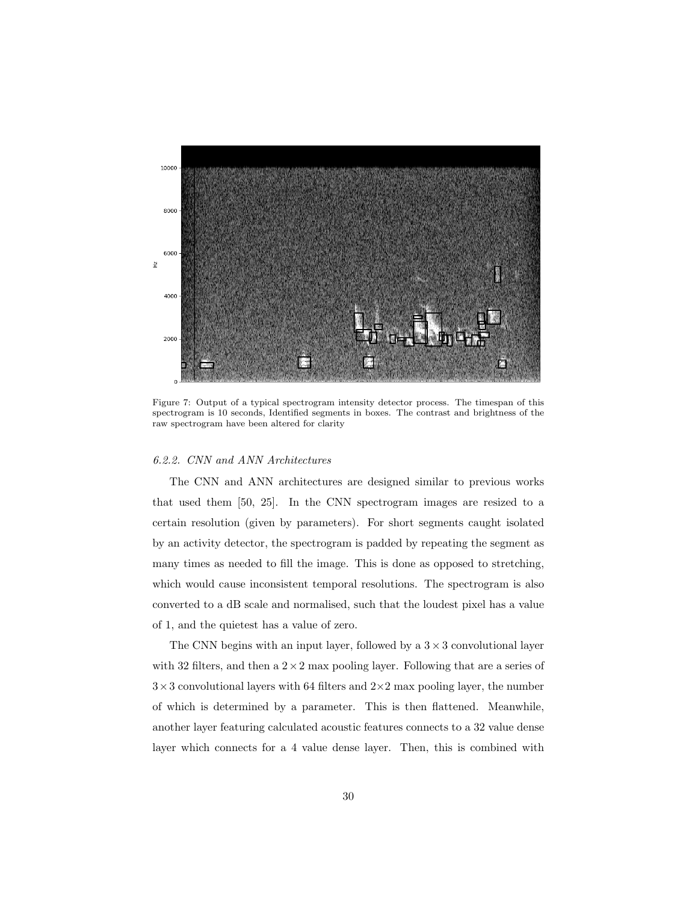

Figure 7: Output of a typical spectrogram intensity detector process. The timespan of this spectrogram is 10 seconds, Identified segments in boxes. The contrast and brightness of the raw spectrogram have been altered for clarity

# 6.2.2. CNN and ANN Architectures

The CNN and ANN architectures are designed similar to previous works that used them [50, 25]. In the CNN spectrogram images are resized to a certain resolution (given by parameters). For short segments caught isolated by an activity detector, the spectrogram is padded by repeating the segment as many times as needed to fill the image. This is done as opposed to stretching, which would cause inconsistent temporal resolutions. The spectrogram is also converted to a dB scale and normalised, such that the loudest pixel has a value of 1, and the quietest has a value of zero.

The CNN begins with an input layer, followed by a  $3 \times 3$  convolutional layer with 32 filters, and then a  $2 \times 2$  max pooling layer. Following that are a series of  $3\times3$  convolutional layers with 64 filters and  $2\times2$  max pooling layer, the number of which is determined by a parameter. This is then flattened. Meanwhile, another layer featuring calculated acoustic features connects to a 32 value dense layer which connects for a 4 value dense layer. Then, this is combined with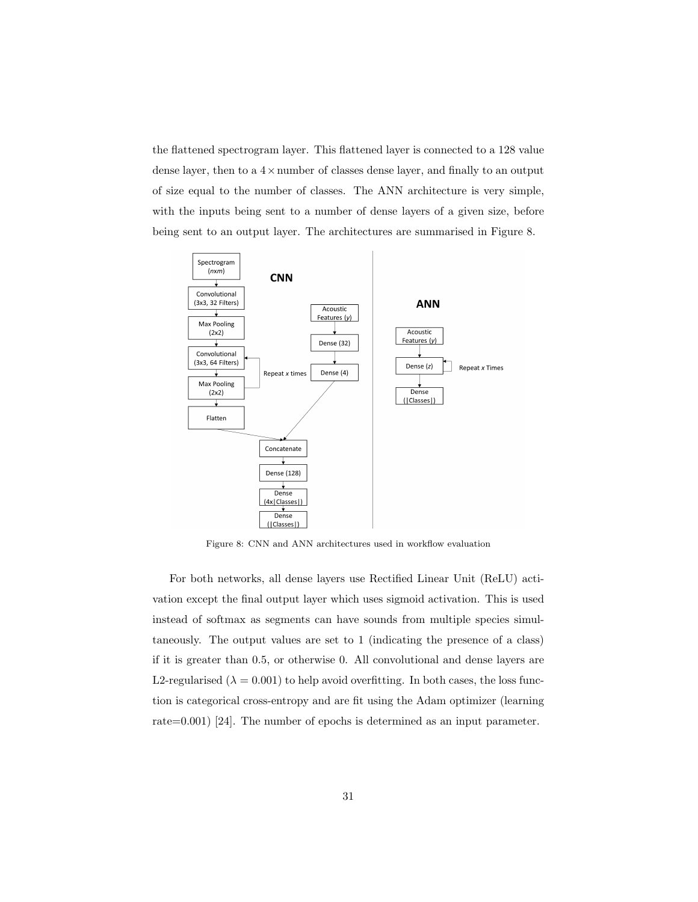the flattened spectrogram layer. This flattened layer is connected to a 128 value dense layer, then to a  $4 \times$ number of classes dense layer, and finally to an output of size equal to the number of classes. The ANN architecture is very simple, with the inputs being sent to a number of dense layers of a given size, before being sent to an output layer. The architectures are summarised in Figure 8.



Figure 8: CNN and ANN architectures used in workflow evaluation

For both networks, all dense layers use Rectified Linear Unit (ReLU) activation except the final output layer which uses sigmoid activation. This is used instead of softmax as segments can have sounds from multiple species simultaneously. The output values are set to 1 (indicating the presence of a class) if it is greater than 0.5, or otherwise 0. All convolutional and dense layers are L2-regularised ( $\lambda = 0.001$ ) to help avoid overfitting. In both cases, the loss function is categorical cross-entropy and are fit using the Adam optimizer (learning rate=0.001) [24]. The number of epochs is determined as an input parameter.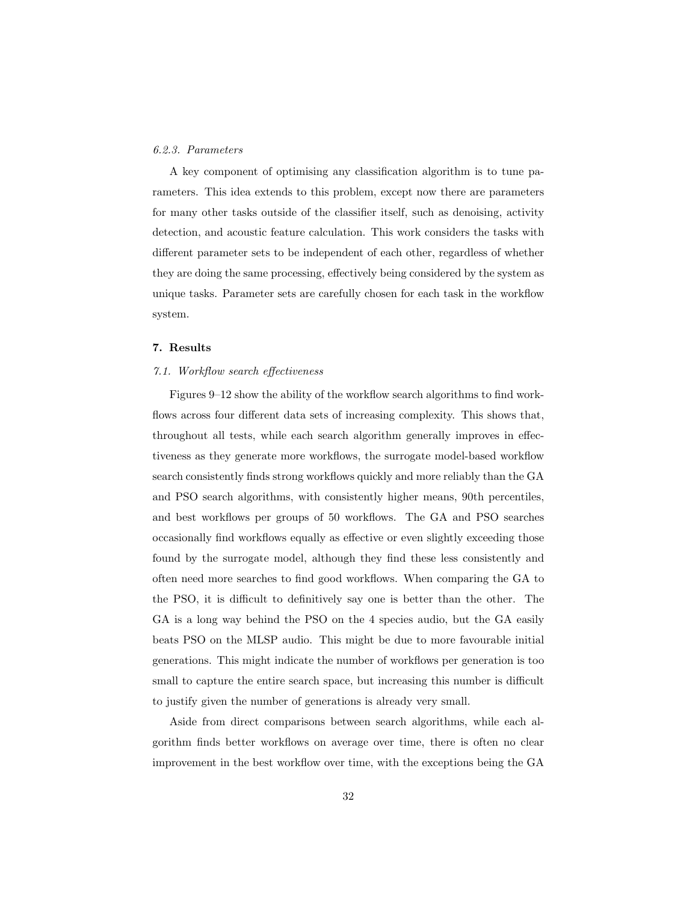# 6.2.3. Parameters

A key component of optimising any classification algorithm is to tune parameters. This idea extends to this problem, except now there are parameters for many other tasks outside of the classifier itself, such as denoising, activity detection, and acoustic feature calculation. This work considers the tasks with different parameter sets to be independent of each other, regardless of whether they are doing the same processing, effectively being considered by the system as unique tasks. Parameter sets are carefully chosen for each task in the workflow system.

#### 7. Results

## 7.1. Workflow search effectiveness

Figures 9–12 show the ability of the workflow search algorithms to find workflows across four different data sets of increasing complexity. This shows that, throughout all tests, while each search algorithm generally improves in effectiveness as they generate more workflows, the surrogate model-based workflow search consistently finds strong workflows quickly and more reliably than the GA and PSO search algorithms, with consistently higher means, 90th percentiles, and best workflows per groups of 50 workflows. The GA and PSO searches occasionally find workflows equally as effective or even slightly exceeding those found by the surrogate model, although they find these less consistently and often need more searches to find good workflows. When comparing the GA to the PSO, it is difficult to definitively say one is better than the other. The GA is a long way behind the PSO on the 4 species audio, but the GA easily beats PSO on the MLSP audio. This might be due to more favourable initial generations. This might indicate the number of workflows per generation is too small to capture the entire search space, but increasing this number is difficult to justify given the number of generations is already very small.

Aside from direct comparisons between search algorithms, while each algorithm finds better workflows on average over time, there is often no clear improvement in the best workflow over time, with the exceptions being the GA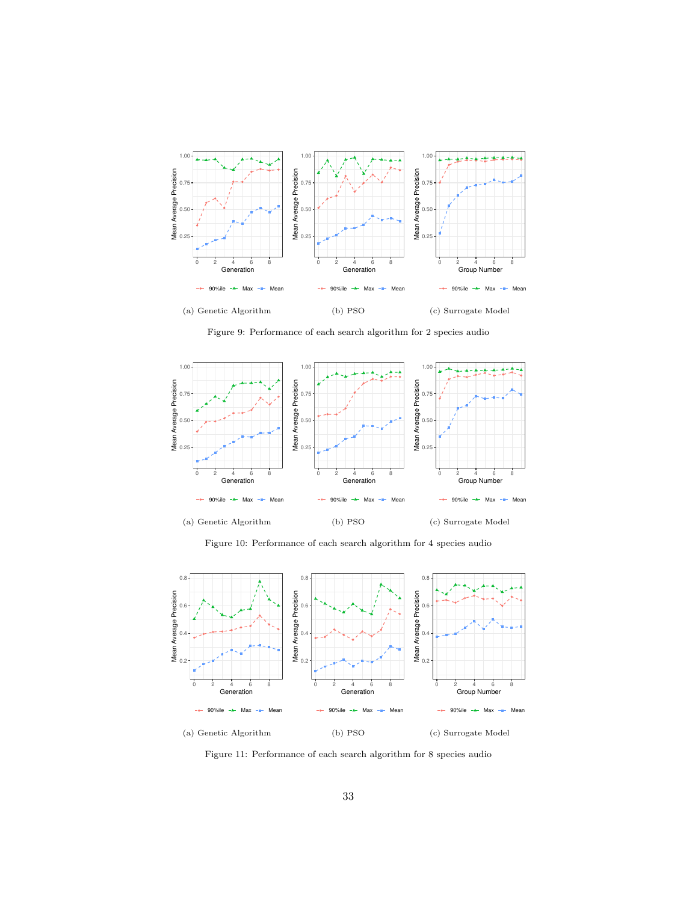

Figure 9: Performance of each search algorithm for 2 species audio



Figure 10: Performance of each search algorithm for 4 species audio



Figure 11: Performance of each search algorithm for 8 species audio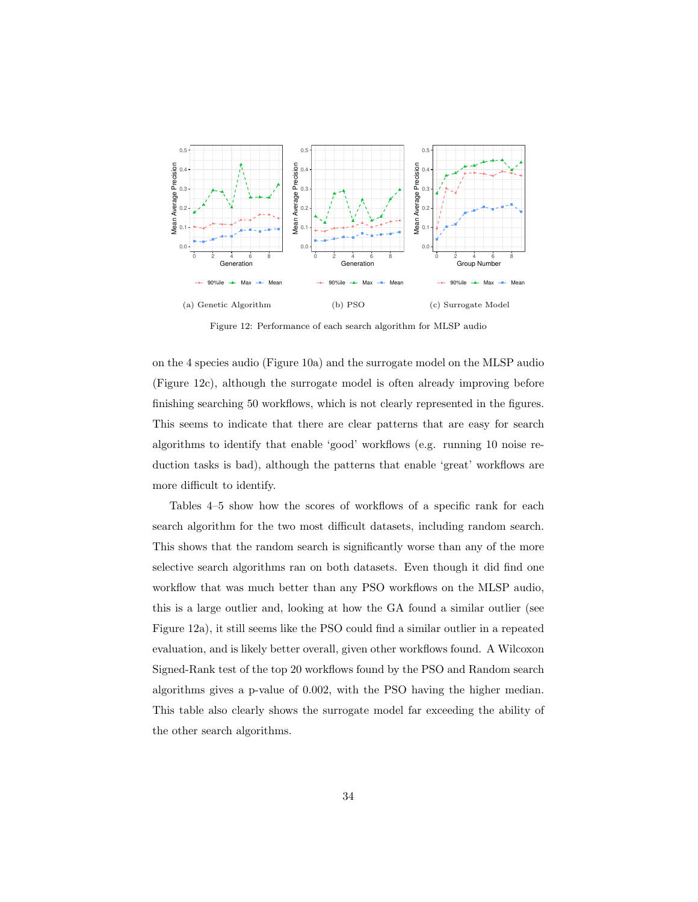

Figure 12: Performance of each search algorithm for MLSP audio

on the 4 species audio (Figure 10a) and the surrogate model on the MLSP audio (Figure 12c), although the surrogate model is often already improving before finishing searching 50 workflows, which is not clearly represented in the figures. This seems to indicate that there are clear patterns that are easy for search algorithms to identify that enable 'good' workflows (e.g. running 10 noise reduction tasks is bad), although the patterns that enable 'great' workflows are more difficult to identify.

Tables 4–5 show how the scores of workflows of a specific rank for each search algorithm for the two most difficult datasets, including random search. This shows that the random search is significantly worse than any of the more selective search algorithms ran on both datasets. Even though it did find one workflow that was much better than any PSO workflows on the MLSP audio, this is a large outlier and, looking at how the GA found a similar outlier (see Figure 12a), it still seems like the PSO could find a similar outlier in a repeated evaluation, and is likely better overall, given other workflows found. A Wilcoxon Signed-Rank test of the top 20 workflows found by the PSO and Random search algorithms gives a p-value of 0.002, with the PSO having the higher median. This table also clearly shows the surrogate model far exceeding the ability of the other search algorithms.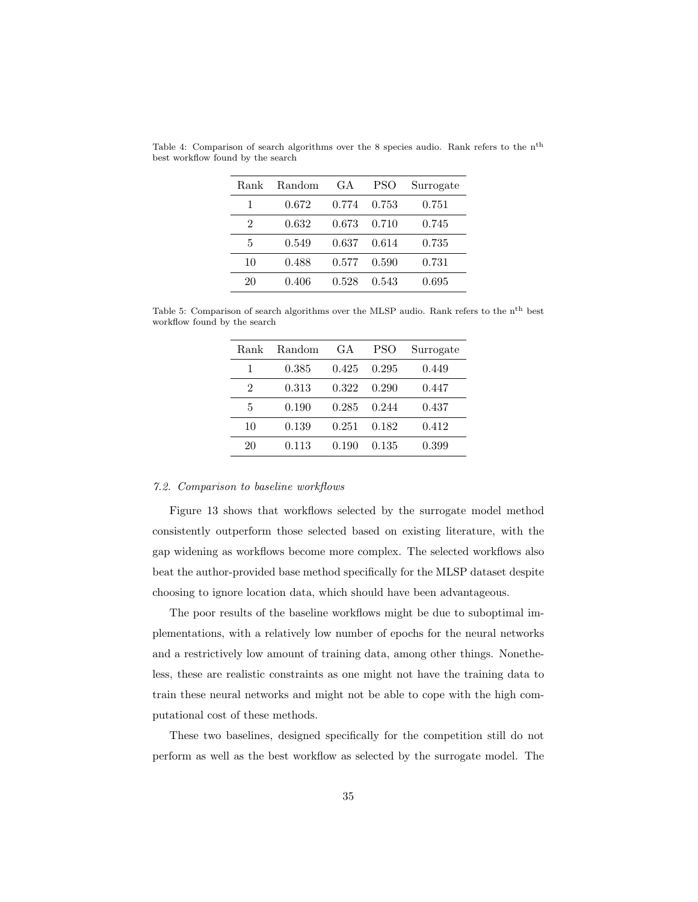| Rank | Random | GA.   | <b>PSO</b> | Surrogate |
|------|--------|-------|------------|-----------|
|      | 0.672  | 0.774 | 0.753      | 0.751     |
| 2    | 0.632  | 0.673 | 0.710      | 0.745     |
| 5    | 0.549  | 0.637 | 0.614      | 0.735     |
| 10   | 0.488  | 0.577 | 0.590      | 0.731     |
| 20   | 0.406  | 0.528 | 0.543      | 0.695     |

Table 4: Comparison of search algorithms over the 8 species audio. Rank refers to the nth best workflow found by the search

Table 5: Comparison of search algorithms over the MLSP audio. Rank refers to the  $\rm n^{th}$  best workflow found by the search

| Rank | Random | GA    | <b>PSO</b> | Surrogate |
|------|--------|-------|------------|-----------|
|      | 0.385  | 0.425 | 0.295      | 0.449     |
| 2    | 0.313  | 0.322 | 0.290      | 0.447     |
| 5    | 0.190  | 0.285 | 0.244      | 0.437     |
| 10   | 0.139  | 0.251 | 0.182      | 0.412     |
| 20   | 0.113  | 0.190 | 0.135      | 0.399     |

## 7.2. Comparison to baseline workflows

Figure 13 shows that workflows selected by the surrogate model method consistently outperform those selected based on existing literature, with the gap widening as workflows become more complex. The selected workflows also beat the author-provided base method specifically for the MLSP dataset despite choosing to ignore location data, which should have been advantageous.

The poor results of the baseline workflows might be due to suboptimal implementations, with a relatively low number of epochs for the neural networks and a restrictively low amount of training data, among other things. Nonetheless, these are realistic constraints as one might not have the training data to train these neural networks and might not be able to cope with the high computational cost of these methods.

These two baselines, designed specifically for the competition still do not perform as well as the best workflow as selected by the surrogate model. The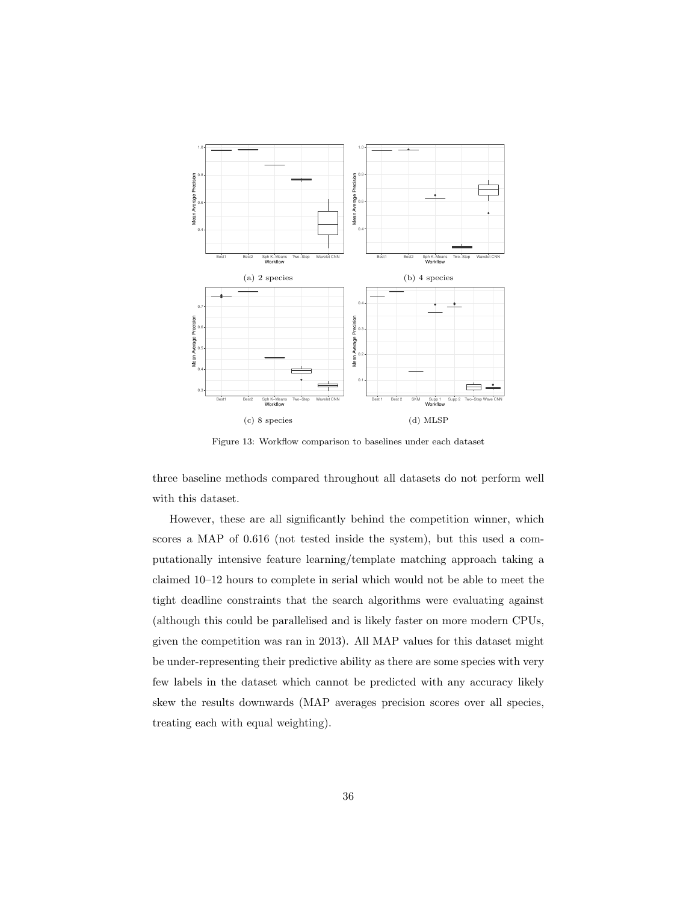

Figure 13: Workflow comparison to baselines under each dataset

three baseline methods compared throughout all datasets do not perform well with this dataset.

However, these are all significantly behind the competition winner, which scores a MAP of 0.616 (not tested inside the system), but this used a computationally intensive feature learning/template matching approach taking a claimed 10–12 hours to complete in serial which would not be able to meet the tight deadline constraints that the search algorithms were evaluating against (although this could be parallelised and is likely faster on more modern CPUs, given the competition was ran in 2013). All MAP values for this dataset might be under-representing their predictive ability as there are some species with very few labels in the dataset which cannot be predicted with any accuracy likely skew the results downwards (MAP averages precision scores over all species, treating each with equal weighting).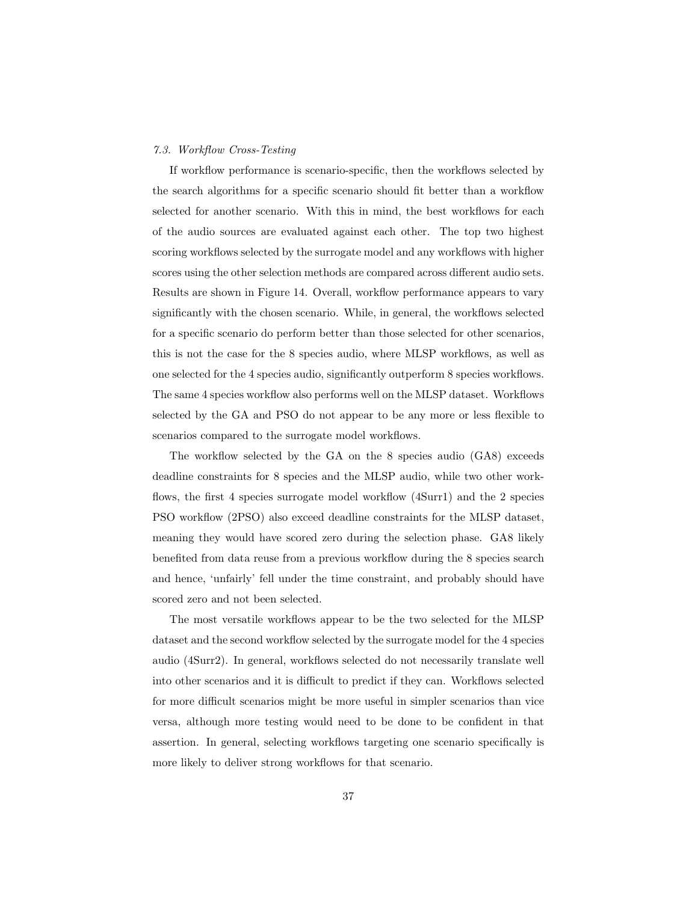# 7.3. Workflow Cross-Testing

If workflow performance is scenario-specific, then the workflows selected by the search algorithms for a specific scenario should fit better than a workflow selected for another scenario. With this in mind, the best workflows for each of the audio sources are evaluated against each other. The top two highest scoring workflows selected by the surrogate model and any workflows with higher scores using the other selection methods are compared across different audio sets. Results are shown in Figure 14. Overall, workflow performance appears to vary significantly with the chosen scenario. While, in general, the workflows selected for a specific scenario do perform better than those selected for other scenarios, this is not the case for the 8 species audio, where MLSP workflows, as well as one selected for the 4 species audio, significantly outperform 8 species workflows. The same 4 species workflow also performs well on the MLSP dataset. Workflows selected by the GA and PSO do not appear to be any more or less flexible to scenarios compared to the surrogate model workflows.

The workflow selected by the GA on the 8 species audio (GA8) exceeds deadline constraints for 8 species and the MLSP audio, while two other workflows, the first 4 species surrogate model workflow (4Surr1) and the 2 species PSO workflow (2PSO) also exceed deadline constraints for the MLSP dataset, meaning they would have scored zero during the selection phase. GA8 likely benefited from data reuse from a previous workflow during the 8 species search and hence, 'unfairly' fell under the time constraint, and probably should have scored zero and not been selected.

The most versatile workflows appear to be the two selected for the MLSP dataset and the second workflow selected by the surrogate model for the 4 species audio (4Surr2). In general, workflows selected do not necessarily translate well into other scenarios and it is difficult to predict if they can. Workflows selected for more difficult scenarios might be more useful in simpler scenarios than vice versa, although more testing would need to be done to be confident in that assertion. In general, selecting workflows targeting one scenario specifically is more likely to deliver strong workflows for that scenario.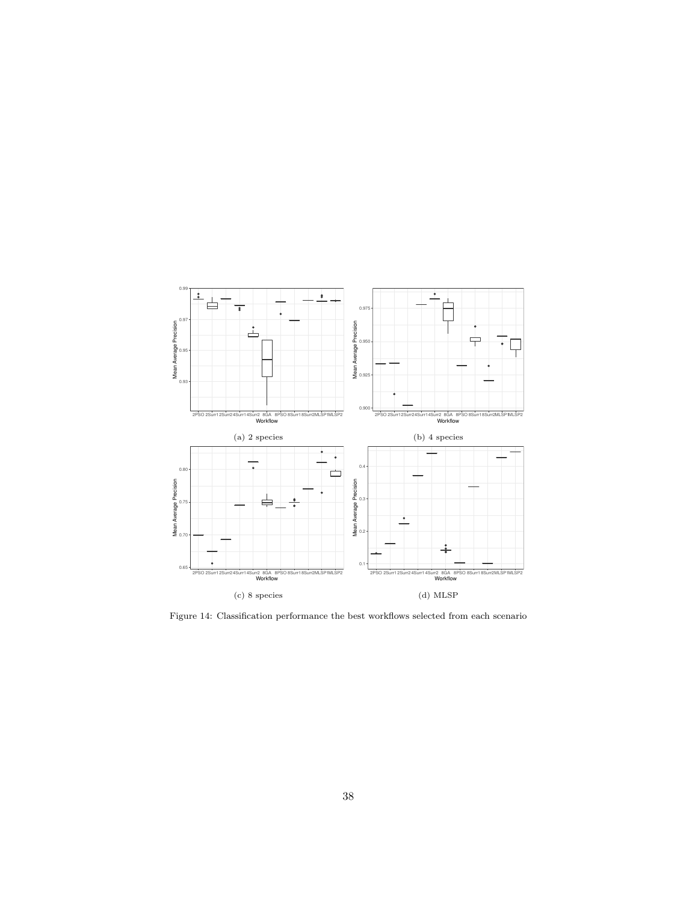

Figure 14: Classification performance the best workflows selected from each scenario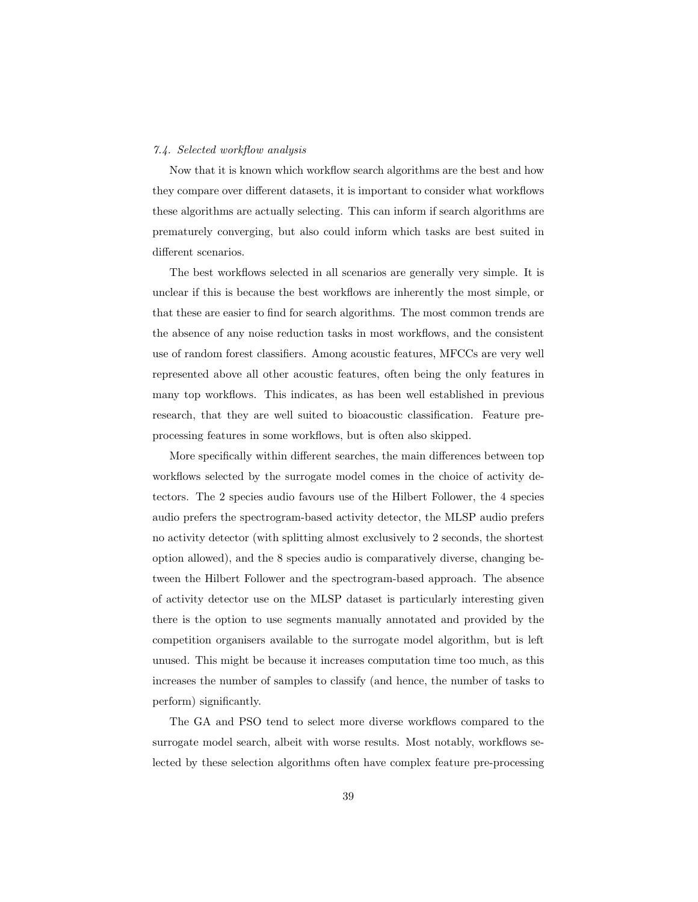# 7.4. Selected workflow analysis

Now that it is known which workflow search algorithms are the best and how they compare over different datasets, it is important to consider what workflows these algorithms are actually selecting. This can inform if search algorithms are prematurely converging, but also could inform which tasks are best suited in different scenarios.

The best workflows selected in all scenarios are generally very simple. It is unclear if this is because the best workflows are inherently the most simple, or that these are easier to find for search algorithms. The most common trends are the absence of any noise reduction tasks in most workflows, and the consistent use of random forest classifiers. Among acoustic features, MFCCs are very well represented above all other acoustic features, often being the only features in many top workflows. This indicates, as has been well established in previous research, that they are well suited to bioacoustic classification. Feature preprocessing features in some workflows, but is often also skipped.

More specifically within different searches, the main differences between top workflows selected by the surrogate model comes in the choice of activity detectors. The 2 species audio favours use of the Hilbert Follower, the 4 species audio prefers the spectrogram-based activity detector, the MLSP audio prefers no activity detector (with splitting almost exclusively to 2 seconds, the shortest option allowed), and the 8 species audio is comparatively diverse, changing between the Hilbert Follower and the spectrogram-based approach. The absence of activity detector use on the MLSP dataset is particularly interesting given there is the option to use segments manually annotated and provided by the competition organisers available to the surrogate model algorithm, but is left unused. This might be because it increases computation time too much, as this increases the number of samples to classify (and hence, the number of tasks to perform) significantly.

The GA and PSO tend to select more diverse workflows compared to the surrogate model search, albeit with worse results. Most notably, workflows selected by these selection algorithms often have complex feature pre-processing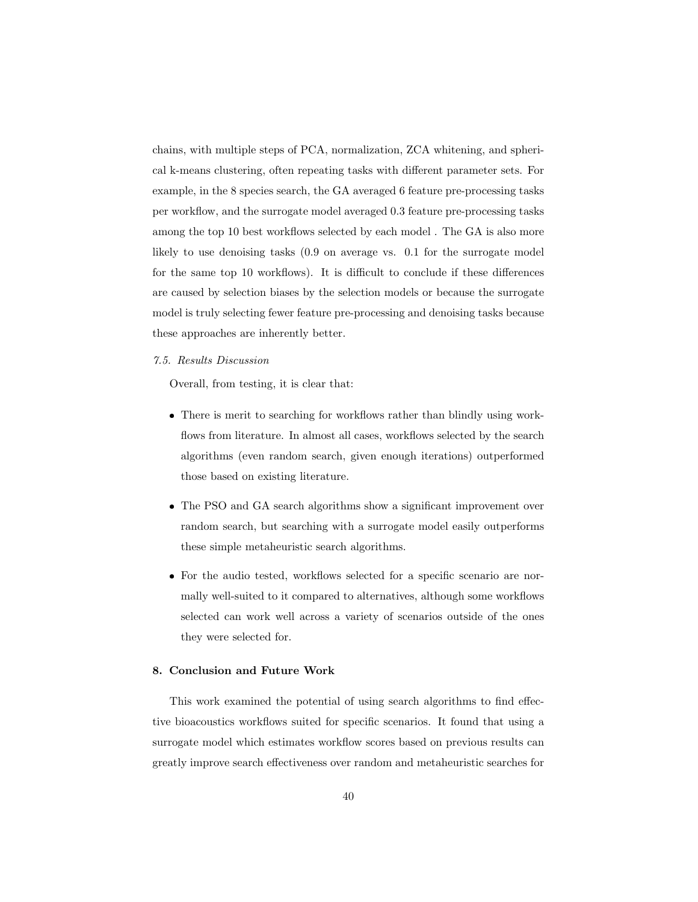chains, with multiple steps of PCA, normalization, ZCA whitening, and spherical k-means clustering, often repeating tasks with different parameter sets. For example, in the 8 species search, the GA averaged 6 feature pre-processing tasks per workflow, and the surrogate model averaged 0.3 feature pre-processing tasks among the top 10 best workflows selected by each model . The GA is also more likely to use denoising tasks (0.9 on average vs. 0.1 for the surrogate model for the same top 10 workflows). It is difficult to conclude if these differences are caused by selection biases by the selection models or because the surrogate model is truly selecting fewer feature pre-processing and denoising tasks because these approaches are inherently better.

#### 7.5. Results Discussion

Overall, from testing, it is clear that:

- There is merit to searching for workflows rather than blindly using workflows from literature. In almost all cases, workflows selected by the search algorithms (even random search, given enough iterations) outperformed those based on existing literature.
- The PSO and GA search algorithms show a significant improvement over random search, but searching with a surrogate model easily outperforms these simple metaheuristic search algorithms.
- For the audio tested, workflows selected for a specific scenario are normally well-suited to it compared to alternatives, although some workflows selected can work well across a variety of scenarios outside of the ones they were selected for.

# 8. Conclusion and Future Work

This work examined the potential of using search algorithms to find effective bioacoustics workflows suited for specific scenarios. It found that using a surrogate model which estimates workflow scores based on previous results can greatly improve search effectiveness over random and metaheuristic searches for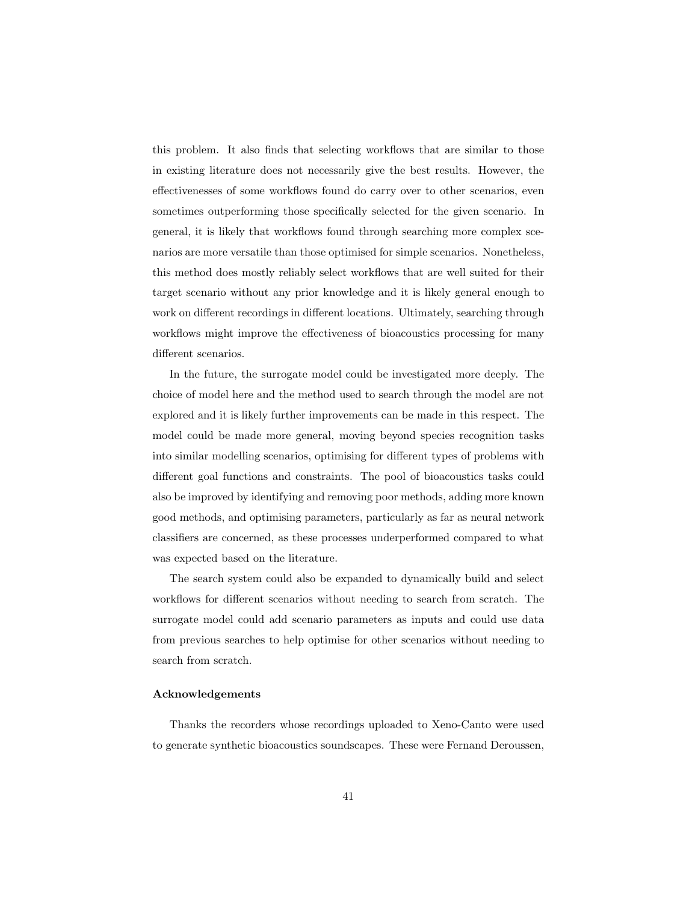this problem. It also finds that selecting workflows that are similar to those in existing literature does not necessarily give the best results. However, the effectivenesses of some workflows found do carry over to other scenarios, even sometimes outperforming those specifically selected for the given scenario. In general, it is likely that workflows found through searching more complex scenarios are more versatile than those optimised for simple scenarios. Nonetheless, this method does mostly reliably select workflows that are well suited for their target scenario without any prior knowledge and it is likely general enough to work on different recordings in different locations. Ultimately, searching through workflows might improve the effectiveness of bioacoustics processing for many different scenarios.

In the future, the surrogate model could be investigated more deeply. The choice of model here and the method used to search through the model are not explored and it is likely further improvements can be made in this respect. The model could be made more general, moving beyond species recognition tasks into similar modelling scenarios, optimising for different types of problems with different goal functions and constraints. The pool of bioacoustics tasks could also be improved by identifying and removing poor methods, adding more known good methods, and optimising parameters, particularly as far as neural network classifiers are concerned, as these processes underperformed compared to what was expected based on the literature.

The search system could also be expanded to dynamically build and select workflows for different scenarios without needing to search from scratch. The surrogate model could add scenario parameters as inputs and could use data from previous searches to help optimise for other scenarios without needing to search from scratch.

# Acknowledgements

Thanks the recorders whose recordings uploaded to Xeno-Canto were used to generate synthetic bioacoustics soundscapes. These were Fernand Deroussen,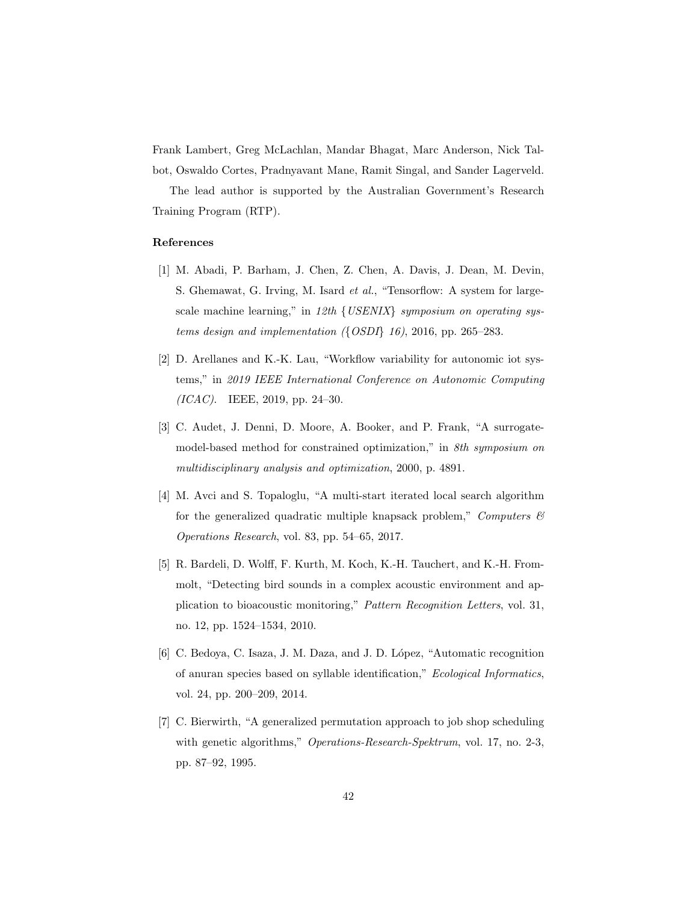Frank Lambert, Greg McLachlan, Mandar Bhagat, Marc Anderson, Nick Talbot, Oswaldo Cortes, Pradnyavant Mane, Ramit Singal, and Sander Lagerveld.

The lead author is supported by the Australian Government's Research Training Program (RTP).

# References

- [1] M. Abadi, P. Barham, J. Chen, Z. Chen, A. Davis, J. Dean, M. Devin, S. Ghemawat, G. Irving, M. Isard et al., "Tensorflow: A system for largescale machine learning," in 12th {USENIX} symposium on operating systems design and implementation  $($ {OSDI} 16), 2016, pp. 265–283.
- [2] D. Arellanes and K.-K. Lau, "Workflow variability for autonomic iot systems," in 2019 IEEE International Conference on Autonomic Computing  $(ICAC)$ . IEEE, 2019, pp. 24–30.
- [3] C. Audet, J. Denni, D. Moore, A. Booker, and P. Frank, "A surrogatemodel-based method for constrained optimization," in *8th symposium on* multidisciplinary analysis and optimization, 2000, p. 4891.
- [4] M. Avci and S. Topaloglu, "A multi-start iterated local search algorithm for the generalized quadratic multiple knapsack problem," Computers  $\mathcal{B}$ Operations Research, vol. 83, pp. 54–65, 2017.
- [5] R. Bardeli, D. Wolff, F. Kurth, M. Koch, K.-H. Tauchert, and K.-H. Frommolt, "Detecting bird sounds in a complex acoustic environment and application to bioacoustic monitoring," Pattern Recognition Letters, vol. 31, no. 12, pp. 1524–1534, 2010.
- [6] C. Bedoya, C. Isaza, J. M. Daza, and J. D. López, "Automatic recognition of anuran species based on syllable identification," Ecological Informatics, vol. 24, pp. 200–209, 2014.
- [7] C. Bierwirth, "A generalized permutation approach to job shop scheduling with genetic algorithms," *Operations-Research-Spektrum*, vol. 17, no. 2-3, pp. 87–92, 1995.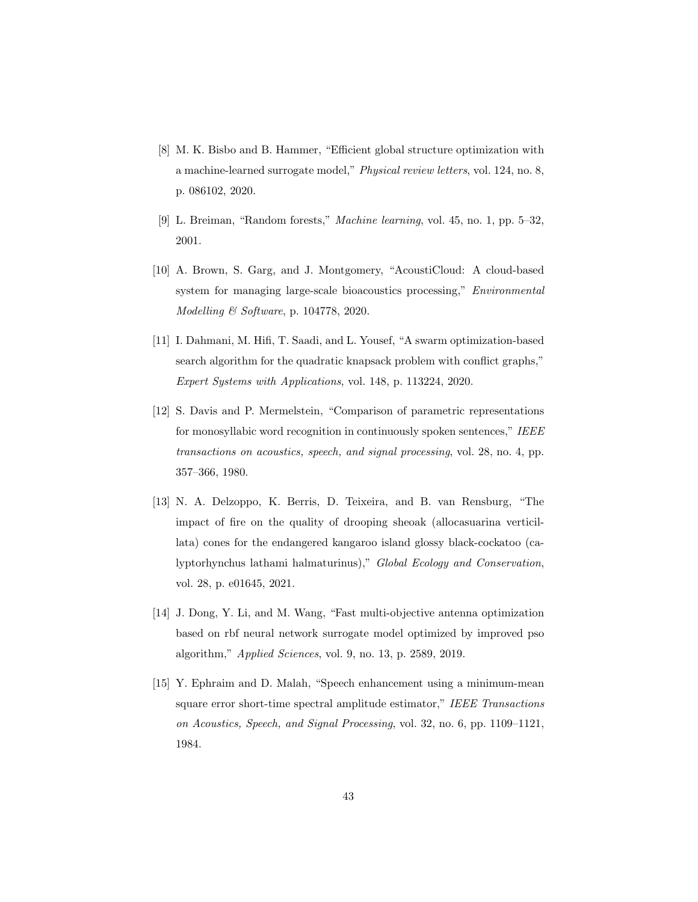- [8] M. K. Bisbo and B. Hammer, "Efficient global structure optimization with a machine-learned surrogate model," Physical review letters, vol. 124, no. 8, p. 086102, 2020.
- [9] L. Breiman, "Random forests," Machine learning, vol. 45, no. 1, pp. 5–32, 2001.
- [10] A. Brown, S. Garg, and J. Montgomery, "AcoustiCloud: A cloud-based system for managing large-scale bioacoustics processing," Environmental Modelling & Software, p. 104778, 2020.
- [11] I. Dahmani, M. Hifi, T. Saadi, and L. Yousef, "A swarm optimization-based search algorithm for the quadratic knapsack problem with conflict graphs," Expert Systems with Applications, vol. 148, p. 113224, 2020.
- [12] S. Davis and P. Mermelstein, "Comparison of parametric representations for monosyllabic word recognition in continuously spoken sentences," IEEE transactions on acoustics, speech, and signal processing, vol. 28, no. 4, pp. 357–366, 1980.
- [13] N. A. Delzoppo, K. Berris, D. Teixeira, and B. van Rensburg, "The impact of fire on the quality of drooping sheoak (allocasuarina verticillata) cones for the endangered kangaroo island glossy black-cockatoo (calyptorhynchus lathami halmaturinus)," Global Ecology and Conservation, vol. 28, p. e01645, 2021.
- [14] J. Dong, Y. Li, and M. Wang, "Fast multi-objective antenna optimization based on rbf neural network surrogate model optimized by improved pso algorithm," Applied Sciences, vol. 9, no. 13, p. 2589, 2019.
- [15] Y. Ephraim and D. Malah, "Speech enhancement using a minimum-mean square error short-time spectral amplitude estimator," IEEE Transactions on Acoustics, Speech, and Signal Processing, vol. 32, no. 6, pp. 1109–1121, 1984.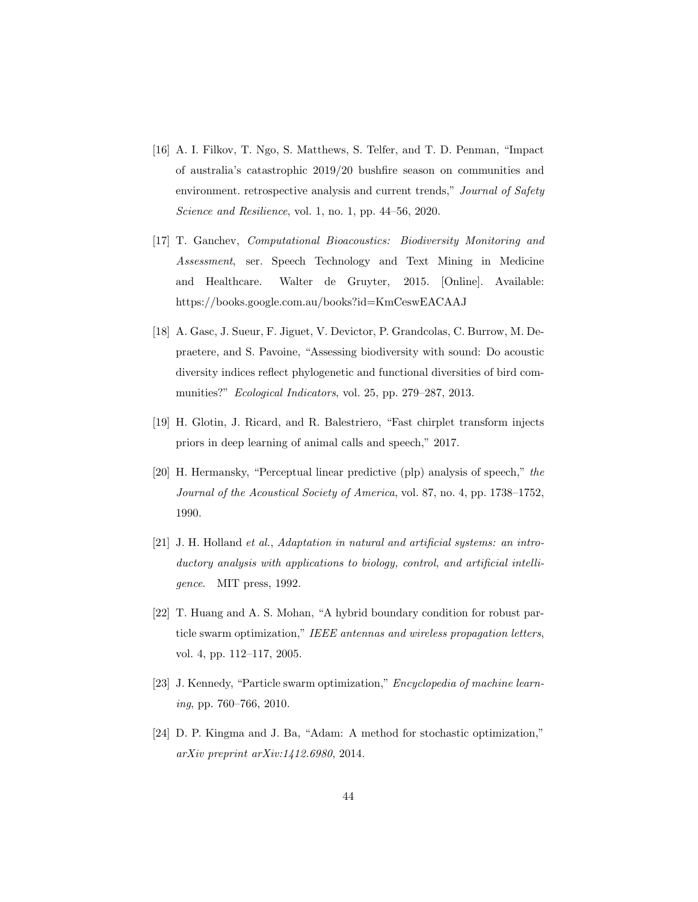- [16] A. I. Filkov, T. Ngo, S. Matthews, S. Telfer, and T. D. Penman, "Impact of australia's catastrophic 2019/20 bushfire season on communities and environment. retrospective analysis and current trends," Journal of Safety Science and Resilience, vol. 1, no. 1, pp. 44–56, 2020.
- [17] T. Ganchev, Computational Bioacoustics: Biodiversity Monitoring and Assessment, ser. Speech Technology and Text Mining in Medicine and Healthcare. Walter de Gruyter, 2015. [Online]. Available: https://books.google.com.au/books?id=KmCeswEACAAJ
- [18] A. Gasc, J. Sueur, F. Jiguet, V. Devictor, P. Grandcolas, C. Burrow, M. Depraetere, and S. Pavoine, "Assessing biodiversity with sound: Do acoustic diversity indices reflect phylogenetic and functional diversities of bird communities?" Ecological Indicators, vol. 25, pp. 279–287, 2013.
- [19] H. Glotin, J. Ricard, and R. Balestriero, "Fast chirplet transform injects priors in deep learning of animal calls and speech," 2017.
- [20] H. Hermansky, "Perceptual linear predictive (plp) analysis of speech," the Journal of the Acoustical Society of America, vol. 87, no. 4, pp. 1738–1752, 1990.
- [21] J. H. Holland et al., Adaptation in natural and artificial systems: an introductory analysis with applications to biology, control, and artificial intelligence. MIT press, 1992.
- [22] T. Huang and A. S. Mohan, "A hybrid boundary condition for robust particle swarm optimization," IEEE antennas and wireless propagation letters, vol. 4, pp. 112–117, 2005.
- [23] J. Kennedy, "Particle swarm optimization," *Encyclopedia of machine learn*ing, pp. 760–766, 2010.
- [24] D. P. Kingma and J. Ba, "Adam: A method for stochastic optimization," arXiv preprint arXiv:1412.6980, 2014.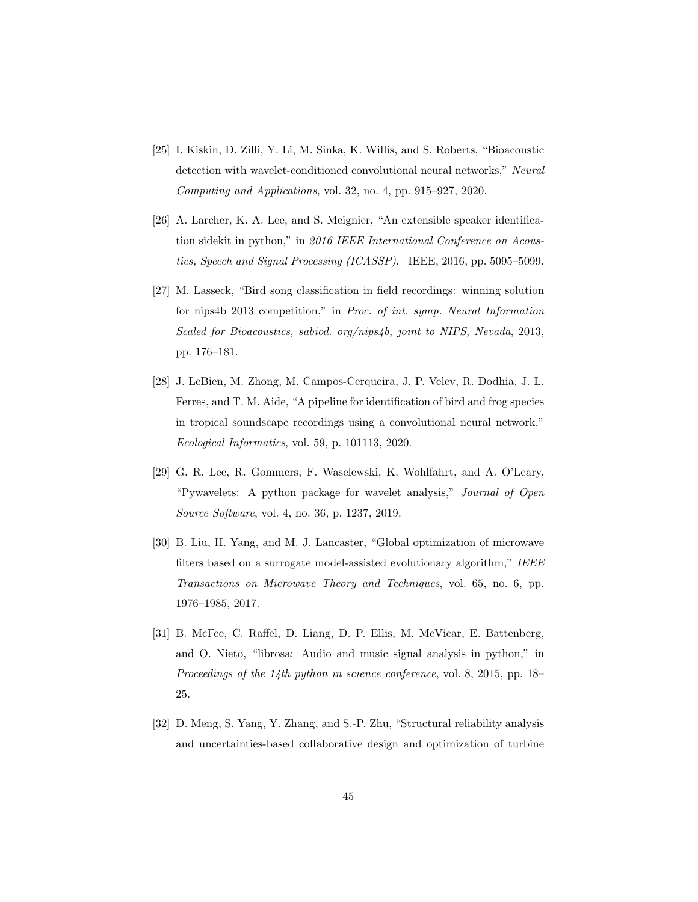- [25] I. Kiskin, D. Zilli, Y. Li, M. Sinka, K. Willis, and S. Roberts, "Bioacoustic detection with wavelet-conditioned convolutional neural networks," Neural Computing and Applications, vol. 32, no. 4, pp. 915–927, 2020.
- [26] A. Larcher, K. A. Lee, and S. Meignier, "An extensible speaker identification sidekit in python," in 2016 IEEE International Conference on Acoustics, Speech and Signal Processing (ICASSP). IEEE, 2016, pp. 5095–5099.
- [27] M. Lasseck, "Bird song classification in field recordings: winning solution for nips4b 2013 competition," in Proc. of int. symp. Neural Information Scaled for Bioacoustics, sabiod. org/nips4b, joint to NIPS, Nevada, 2013, pp. 176–181.
- [28] J. LeBien, M. Zhong, M. Campos-Cerqueira, J. P. Velev, R. Dodhia, J. L. Ferres, and T. M. Aide, "A pipeline for identification of bird and frog species in tropical soundscape recordings using a convolutional neural network," Ecological Informatics, vol. 59, p. 101113, 2020.
- [29] G. R. Lee, R. Gommers, F. Waselewski, K. Wohlfahrt, and A. O'Leary, "Pywavelets: A python package for wavelet analysis," Journal of Open Source Software, vol. 4, no. 36, p. 1237, 2019.
- [30] B. Liu, H. Yang, and M. J. Lancaster, "Global optimization of microwave filters based on a surrogate model-assisted evolutionary algorithm," IEEE Transactions on Microwave Theory and Techniques, vol. 65, no. 6, pp. 1976–1985, 2017.
- [31] B. McFee, C. Raffel, D. Liang, D. P. Ellis, M. McVicar, E. Battenberg, and O. Nieto, "librosa: Audio and music signal analysis in python," in Proceedings of the 14th python in science conference, vol. 8, 2015, pp. 18– 25.
- [32] D. Meng, S. Yang, Y. Zhang, and S.-P. Zhu, "Structural reliability analysis and uncertainties-based collaborative design and optimization of turbine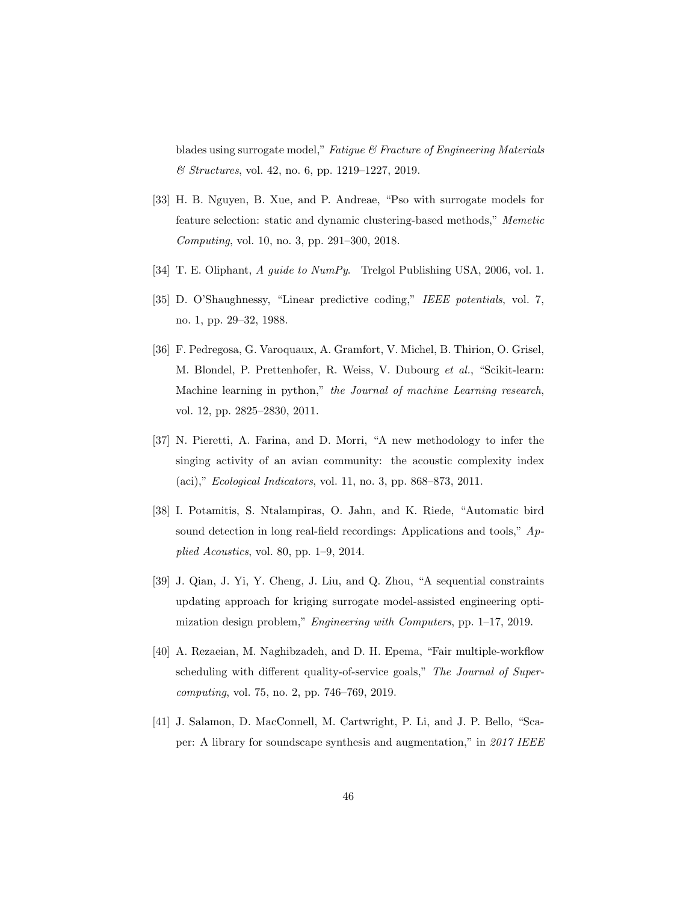blades using surrogate model," Fatigue & Fracture of Engineering Materials & Structures, vol. 42, no. 6, pp. 1219–1227, 2019.

- [33] H. B. Nguyen, B. Xue, and P. Andreae, "Pso with surrogate models for feature selection: static and dynamic clustering-based methods," Memetic Computing, vol. 10, no. 3, pp. 291–300, 2018.
- [34] T. E. Oliphant, A guide to NumPy. Trelgol Publishing USA, 2006, vol. 1.
- [35] D. O'Shaughnessy, "Linear predictive coding," IEEE potentials, vol. 7, no. 1, pp. 29–32, 1988.
- [36] F. Pedregosa, G. Varoquaux, A. Gramfort, V. Michel, B. Thirion, O. Grisel, M. Blondel, P. Prettenhofer, R. Weiss, V. Dubourg et al., "Scikit-learn: Machine learning in python," the Journal of machine Learning research, vol. 12, pp. 2825–2830, 2011.
- [37] N. Pieretti, A. Farina, and D. Morri, "A new methodology to infer the singing activity of an avian community: the acoustic complexity index (aci)," Ecological Indicators, vol. 11, no. 3, pp. 868–873, 2011.
- [38] I. Potamitis, S. Ntalampiras, O. Jahn, and K. Riede, "Automatic bird sound detection in long real-field recordings: Applications and tools," Applied Acoustics, vol. 80, pp. 1–9, 2014.
- [39] J. Qian, J. Yi, Y. Cheng, J. Liu, and Q. Zhou, "A sequential constraints updating approach for kriging surrogate model-assisted engineering optimization design problem," Engineering with Computers, pp. 1–17, 2019.
- [40] A. Rezaeian, M. Naghibzadeh, and D. H. Epema, "Fair multiple-workflow scheduling with different quality-of-service goals," The Journal of Supercomputing, vol. 75, no. 2, pp. 746–769, 2019.
- [41] J. Salamon, D. MacConnell, M. Cartwright, P. Li, and J. P. Bello, "Scaper: A library for soundscape synthesis and augmentation," in 2017 IEEE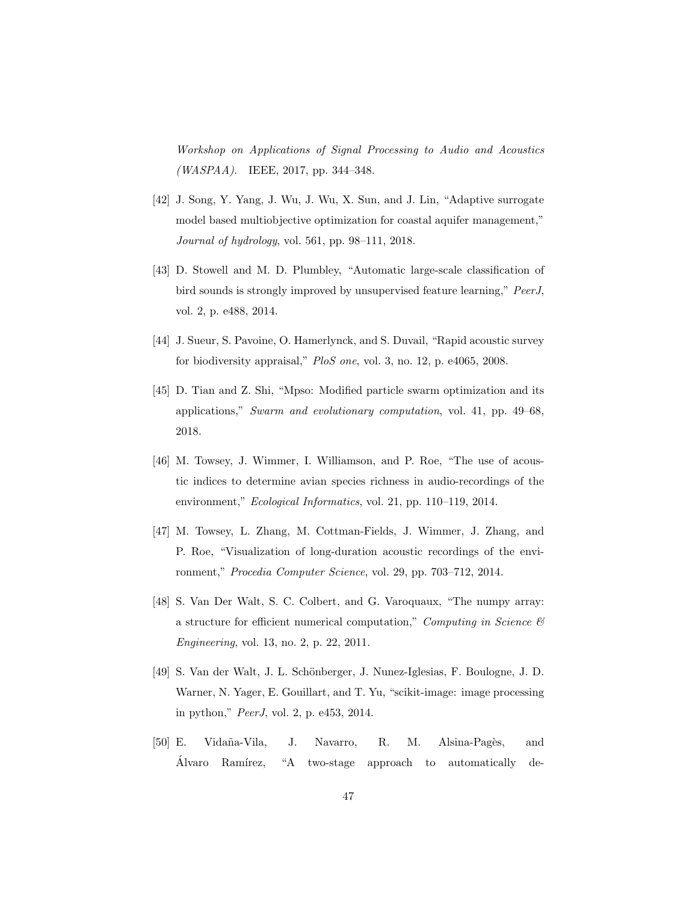Workshop on Applications of Signal Processing to Audio and Acoustics  $(WASPAA)$ . IEEE, 2017, pp. 344–348.

- [42] J. Song, Y. Yang, J. Wu, J. Wu, X. Sun, and J. Lin, "Adaptive surrogate model based multiobjective optimization for coastal aquifer management," Journal of hydrology, vol. 561, pp. 98–111, 2018.
- [43] D. Stowell and M. D. Plumbley, "Automatic large-scale classification of bird sounds is strongly improved by unsupervised feature learning," PeerJ, vol. 2, p. e488, 2014.
- [44] J. Sueur, S. Pavoine, O. Hamerlynck, and S. Duvail, "Rapid acoustic survey for biodiversity appraisal," PloS one, vol. 3, no. 12, p. e4065, 2008.
- [45] D. Tian and Z. Shi, "Mpso: Modified particle swarm optimization and its applications," Swarm and evolutionary computation, vol. 41, pp. 49–68, 2018.
- [46] M. Towsey, J. Wimmer, I. Williamson, and P. Roe, "The use of acoustic indices to determine avian species richness in audio-recordings of the environment," Ecological Informatics, vol. 21, pp. 110–119, 2014.
- [47] M. Towsey, L. Zhang, M. Cottman-Fields, J. Wimmer, J. Zhang, and P. Roe, "Visualization of long-duration acoustic recordings of the environment," Procedia Computer Science, vol. 29, pp. 703–712, 2014.
- [48] S. Van Der Walt, S. C. Colbert, and G. Varoquaux, "The numpy array: a structure for efficient numerical computation," Computing in Science  $\mathcal{C}$ Engineering, vol. 13, no. 2, p. 22, 2011.
- [49] S. Van der Walt, J. L. Schönberger, J. Nunez-Iglesias, F. Boulogne, J. D. Warner, N. Yager, E. Gouillart, and T. Yu, "scikit-image: image processing in python," PeerJ, vol. 2, p. e453, 2014.
- [50] E. Vida˜na-Vila, J. Navarro, R. M. Alsina-Pag`es, and Alvaro Ramírez, "A two-stage approach to automatically de-